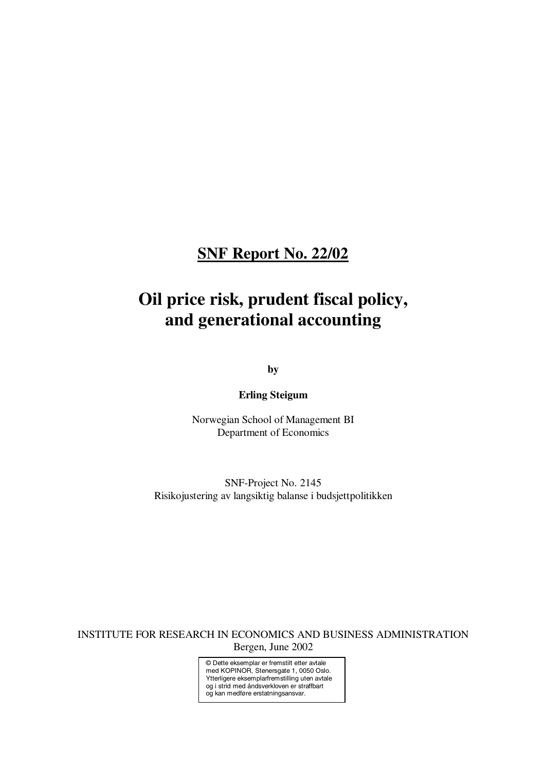## **SNF Report No. 22/02**

# **Oil price risk, prudent fiscal policy, and generational accounting**

**by** 

**Erling Steigum** 

Norwegian School of Management BI Department of Economics

SNF-Project No. 2145 Risikojustering av langsiktig balanse i budsjettpolitikken

INSTITUTE FOR RESEARCH IN ECONOMICS AND BUSINESS ADMINISTRATION Bergen, June 2002

> © Dette eksemplar er fremstilt etter avtale med KOPINOR, Stenersgate 1, 0050 Oslo. Ytterligere eksemplarfremstilling uten avtale og i strid med åndsverkloven er straffbart og kan medføre erstatningsansvar.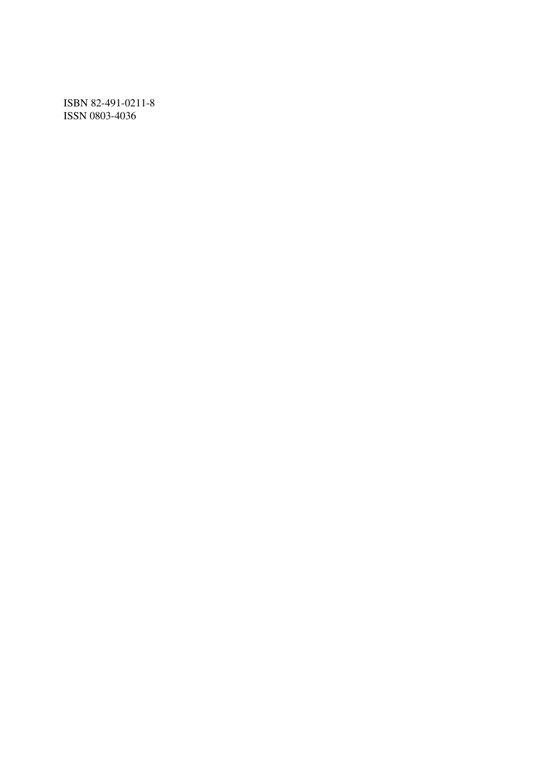ISBN 82-491-0211-8 ISSN 0803-4036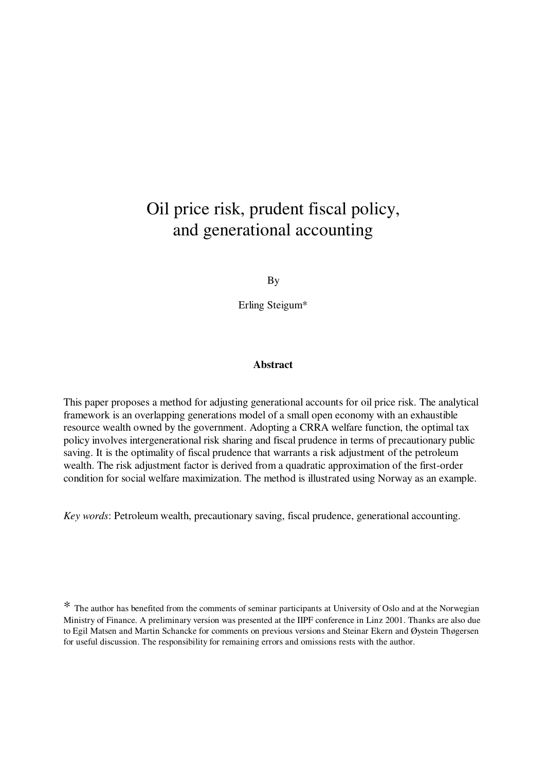# Oil price risk, prudent fiscal policy, and generational accounting

**B**<sub>V</sub>

Erling Steigum\*

#### **Abstract**

This paper proposes a method for adjusting generational accounts for oil price risk. The analytical framework is an overlapping generations model of a small open economy with an exhaustible resource wealth owned by the government. Adopting a CRRA welfare function, the optimal tax policy involves intergenerational risk sharing and fiscal prudence in terms of precautionary public saving. It is the optimality of fiscal prudence that warrants a risk adjustment of the petroleum wealth. The risk adjustment factor is derived from a quadratic approximation of the first-order condition for social welfare maximization. The method is illustrated using Norway as an example.

*Key words*: Petroleum wealth, precautionary saving, fiscal prudence, generational accounting.

<sup>\*</sup> The author has benefited from the comments of seminar participants at University of Oslo and at the Norwegian Ministry of Finance. A preliminary version was presented at the IIPF conference in Linz 2001. Thanks are also due to Egil Matsen and Martin Schancke for comments on previous versions and Steinar Ekern and Øystein Thøgersen for useful discussion. The responsibility for remaining errors and omissions rests with the author.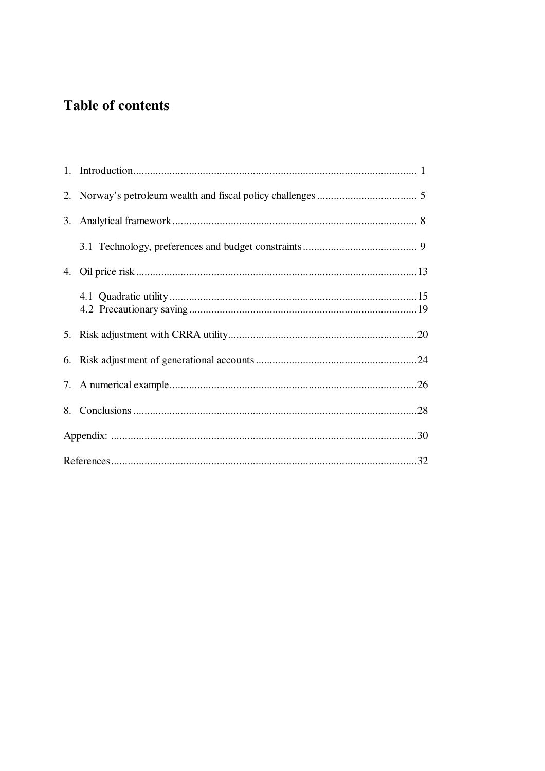## **Table of contents**

| 8. |  |  |
|----|--|--|
|    |  |  |
|    |  |  |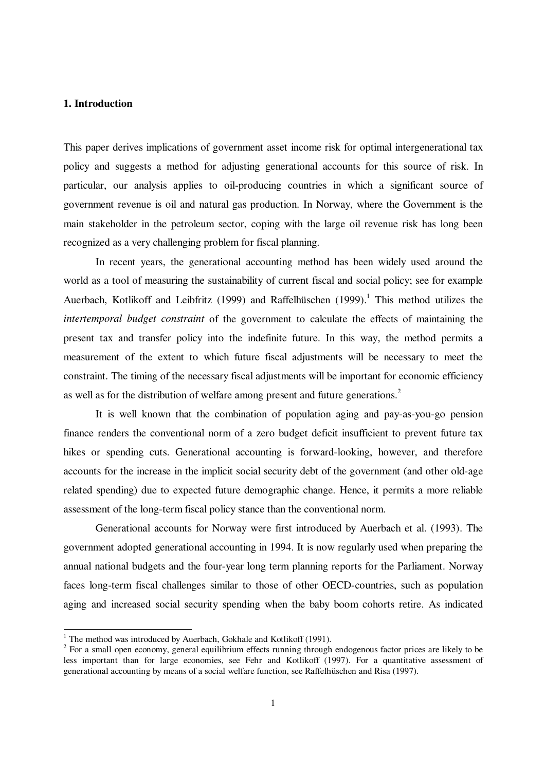#### **1. Introduction**

This paper derives implications of government asset income risk for optimal intergenerational tax policy and suggests a method for adjusting generational accounts for this source of risk. In particular, our analysis applies to oil-producing countries in which a significant source of government revenue is oil and natural gas production. In Norway, where the Government is the main stakeholder in the petroleum sector, coping with the large oil revenue risk has long been recognized as a very challenging problem for fiscal planning.

In recent years, the generational accounting method has been widely used around the world as a tool of measuring the sustainability of current fiscal and social policy; see for example Auerbach, Kotlikoff and Leibfritz (1999) and Raffelhüschen (1999).<sup>1</sup> This method utilizes the *intertemporal budget constraint* of the government to calculate the effects of maintaining the present tax and transfer policy into the indefinite future. In this way, the method permits a measurement of the extent to which future fiscal adjustments will be necessary to meet the constraint. The timing of the necessary fiscal adjustments will be important for economic efficiency as well as for the distribution of welfare among present and future generations. $2$ 

It is well known that the combination of population aging and pay-as-you-go pension finance renders the conventional norm of a zero budget deficit insufficient to prevent future tax hikes or spending cuts. Generational accounting is forward-looking, however, and therefore accounts for the increase in the implicit social security debt of the government (and other old-age related spending) due to expected future demographic change. Hence, it permits a more reliable assessment of the long-term fiscal policy stance than the conventional norm.

Generational accounts for Norway were first introduced by Auerbach et al. (1993). The government adopted generational accounting in 1994. It is now regularly used when preparing the annual national budgets and the four-year long term planning reports for the Parliament. Norway faces long-term fiscal challenges similar to those of other OECD-countries, such as population aging and increased social security spending when the baby boom cohorts retire. As indicated

<sup>&</sup>lt;sup>1</sup> The method was introduced by Auerbach, Gokhale and Kotlikoff (1991).

 $2^2$  For a small open economy, general equilibrium effects running through endogenous factor prices are likely to be less important than for large economies, see Fehr and Kotlikoff (1997). For a quantitative assessment of generational accounting by means of a social welfare function, see Raffelhüschen and Risa (1997).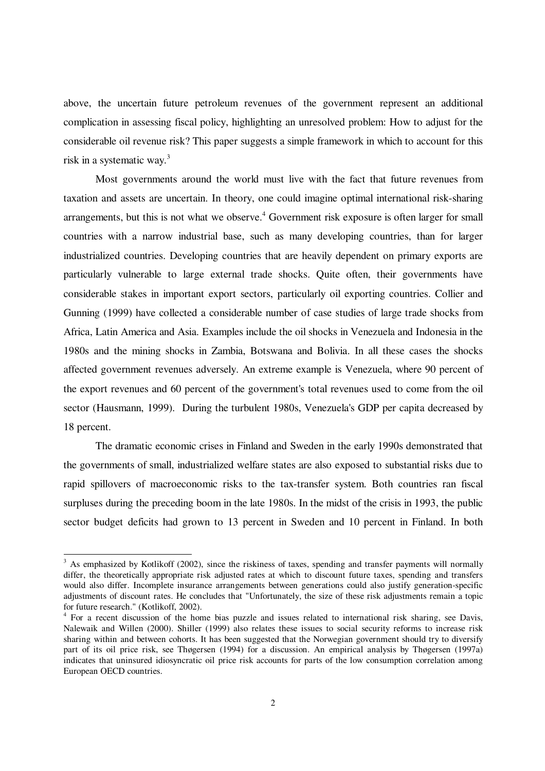above, the uncertain future petroleum revenues of the government represent an additional complication in assessing fiscal policy, highlighting an unresolved problem: How to adjust for the considerable oil revenue risk? This paper suggests a simple framework in which to account for this risk in a systematic way.<sup>3</sup>

Most governments around the world must live with the fact that future revenues from taxation and assets are uncertain. In theory, one could imagine optimal international risk-sharing arrangements, but this is not what we observe.<sup>4</sup> Government risk exposure is often larger for small countries with a narrow industrial base, such as many developing countries, than for larger industrialized countries. Developing countries that are heavily dependent on primary exports are particularly vulnerable to large external trade shocks. Quite often, their governments have considerable stakes in important export sectors, particularly oil exporting countries. Collier and Gunning (1999) have collected a considerable number of case studies of large trade shocks from Africa, Latin America and Asia. Examples include the oil shocks in Venezuela and Indonesia in the 1980s and the mining shocks in Zambia, Botswana and Bolivia. In all these cases the shocks affected government revenues adversely. An extreme example is Venezuela, where 90 percent of the export revenues and 60 percent of the government's total revenues used to come from the oil sector (Hausmann, 1999). During the turbulent 1980s, Venezuela's GDP per capita decreased by 18 percent.

The dramatic economic crises in Finland and Sweden in the early 1990s demonstrated that the governments of small, industrialized welfare states are also exposed to substantial risks due to rapid spillovers of macroeconomic risks to the tax-transfer system. Both countries ran fiscal surpluses during the preceding boom in the late 1980s. In the midst of the crisis in 1993, the public sector budget deficits had grown to 13 percent in Sweden and 10 percent in Finland. In both

-

 $3$  As emphasized by Kotlikoff (2002), since the riskiness of taxes, spending and transfer payments will normally differ, the theoretically appropriate risk adjusted rates at which to discount future taxes, spending and transfers would also differ. Incomplete insurance arrangements between generations could also justify generation-specific adjustments of discount rates. He concludes that "Unfortunately, the size of these risk adjustments remain a topic for future research." (Kotlikoff, 2002).

<sup>&</sup>lt;sup>4</sup> For a recent discussion of the home bias puzzle and issues related to international risk sharing, see Davis, Nalewaik and Willen (2000). Shiller (1999) also relates these issues to social security reforms to increase risk sharing within and between cohorts. It has been suggested that the Norwegian government should try to diversify part of its oil price risk, see Thøgersen (1994) for a discussion. An empirical analysis by Thøgersen (1997a) indicates that uninsured idiosyncratic oil price risk accounts for parts of the low consumption correlation among European OECD countries.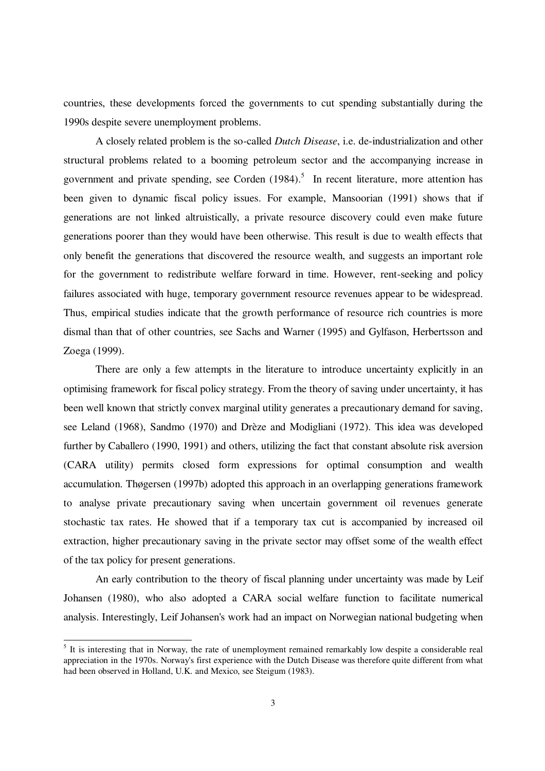countries, these developments forced the governments to cut spending substantially during the 1990s despite severe unemployment problems.

A closely related problem is the so-called *Dutch Disease*, i.e. de-industrialization and other structural problems related to a booming petroleum sector and the accompanying increase in government and private spending, see Corden  $(1984)$ .<sup>5</sup> In recent literature, more attention has been given to dynamic fiscal policy issues. For example, Mansoorian (1991) shows that if generations are not linked altruistically, a private resource discovery could even make future generations poorer than they would have been otherwise. This result is due to wealth effects that only benefit the generations that discovered the resource wealth, and suggests an important role for the government to redistribute welfare forward in time. However, rent-seeking and policy failures associated with huge, temporary government resource revenues appear to be widespread. Thus, empirical studies indicate that the growth performance of resource rich countries is more dismal than that of other countries, see Sachs and Warner (1995) and Gylfason, Herbertsson and Zoega (1999).

There are only a few attempts in the literature to introduce uncertainty explicitly in an optimising framework for fiscal policy strategy. From the theory of saving under uncertainty, it has been well known that strictly convex marginal utility generates a precautionary demand for saving, see Leland (1968), Sandmo (1970) and Drèze and Modigliani (1972). This idea was developed further by Caballero (1990, 1991) and others, utilizing the fact that constant absolute risk aversion (CARA utility) permits closed form expressions for optimal consumption and wealth accumulation. Thøgersen (1997b) adopted this approach in an overlapping generations framework to analyse private precautionary saving when uncertain government oil revenues generate stochastic tax rates. He showed that if a temporary tax cut is accompanied by increased oil extraction, higher precautionary saving in the private sector may offset some of the wealth effect of the tax policy for present generations.

An early contribution to the theory of fiscal planning under uncertainty was made by Leif Johansen (1980), who also adopted a CARA social welfare function to facilitate numerical analysis. Interestingly, Leif Johansen's work had an impact on Norwegian national budgeting when

-

<sup>&</sup>lt;sup>5</sup> It is interesting that in Norway, the rate of unemployment remained remarkably low despite a considerable real appreciation in the 1970s. Norway's first experience with the Dutch Disease was therefore quite different from what had been observed in Holland, U.K. and Mexico, see Steigum (1983).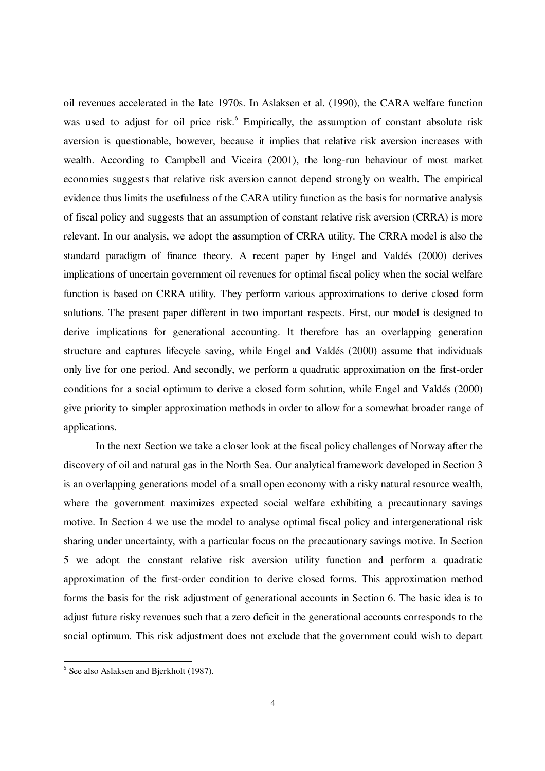oil revenues accelerated in the late 1970s. In Aslaksen et al. (1990), the CARA welfare function was used to adjust for oil price risk.<sup>6</sup> Empirically, the assumption of constant absolute risk aversion is questionable, however, because it implies that relative risk aversion increases with wealth. According to Campbell and Viceira (2001), the long-run behaviour of most market economies suggests that relative risk aversion cannot depend strongly on wealth. The empirical evidence thus limits the usefulness of the CARA utility function as the basis for normative analysis of fiscal policy and suggests that an assumption of constant relative risk aversion (CRRA) is more relevant. In our analysis, we adopt the assumption of CRRA utility. The CRRA model is also the standard paradigm of finance theory. A recent paper by Engel and Valdés (2000) derives implications of uncertain government oil revenues for optimal fiscal policy when the social welfare function is based on CRRA utility. They perform various approximations to derive closed form solutions. The present paper different in two important respects. First, our model is designed to derive implications for generational accounting. It therefore has an overlapping generation structure and captures lifecycle saving, while Engel and Valdés (2000) assume that individuals only live for one period. And secondly, we perform a quadratic approximation on the first-order conditions for a social optimum to derive a closed form solution, while Engel and Valdés (2000) give priority to simpler approximation methods in order to allow for a somewhat broader range of applications.

In the next Section we take a closer look at the fiscal policy challenges of Norway after the discovery of oil and natural gas in the North Sea. Our analytical framework developed in Section 3 is an overlapping generations model of a small open economy with a risky natural resource wealth, where the government maximizes expected social welfare exhibiting a precautionary savings motive. In Section 4 we use the model to analyse optimal fiscal policy and intergenerational risk sharing under uncertainty, with a particular focus on the precautionary savings motive. In Section 5 we adopt the constant relative risk aversion utility function and perform a quadratic approximation of the first-order condition to derive closed forms. This approximation method forms the basis for the risk adjustment of generational accounts in Section 6. The basic idea is to adjust future risky revenues such that a zero deficit in the generational accounts corresponds to the social optimum. This risk adjustment does not exclude that the government could wish to depart

<sup>&</sup>lt;sup>6</sup> See also Aslaksen and Bjerkholt (1987).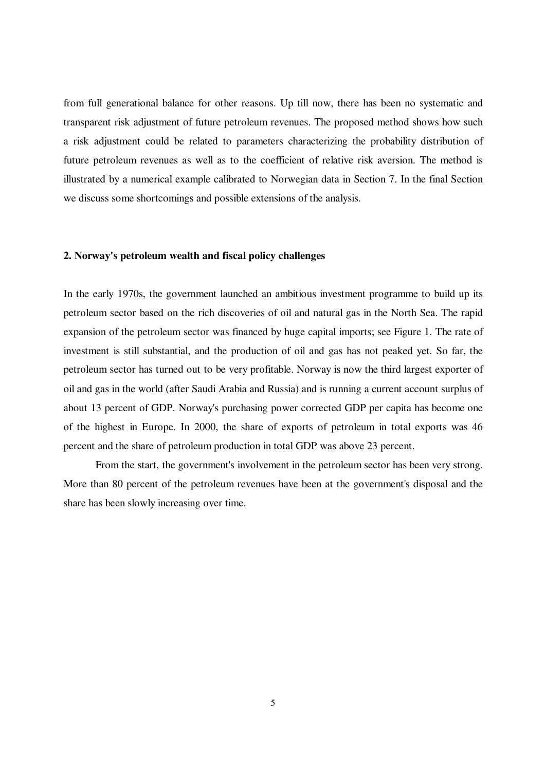from full generational balance for other reasons. Up till now, there has been no systematic and transparent risk adjustment of future petroleum revenues. The proposed method shows how such a risk adjustment could be related to parameters characterizing the probability distribution of future petroleum revenues as well as to the coefficient of relative risk aversion. The method is illustrated by a numerical example calibrated to Norwegian data in Section 7. In the final Section we discuss some shortcomings and possible extensions of the analysis.

### **2. Norway's petroleum wealth and fiscal policy challenges**

In the early 1970s, the government launched an ambitious investment programme to build up its petroleum sector based on the rich discoveries of oil and natural gas in the North Sea. The rapid expansion of the petroleum sector was financed by huge capital imports; see Figure 1. The rate of investment is still substantial, and the production of oil and gas has not peaked yet. So far, the petroleum sector has turned out to be very profitable. Norway is now the third largest exporter of oil and gas in the world (after Saudi Arabia and Russia) and is running a current account surplus of about 13 percent of GDP. Norway's purchasing power corrected GDP per capita has become one of the highest in Europe. In 2000, the share of exports of petroleum in total exports was 46 percent and the share of petroleum production in total GDP was above 23 percent.

 From the start, the government's involvement in the petroleum sector has been very strong. More than 80 percent of the petroleum revenues have been at the government's disposal and the share has been slowly increasing over time.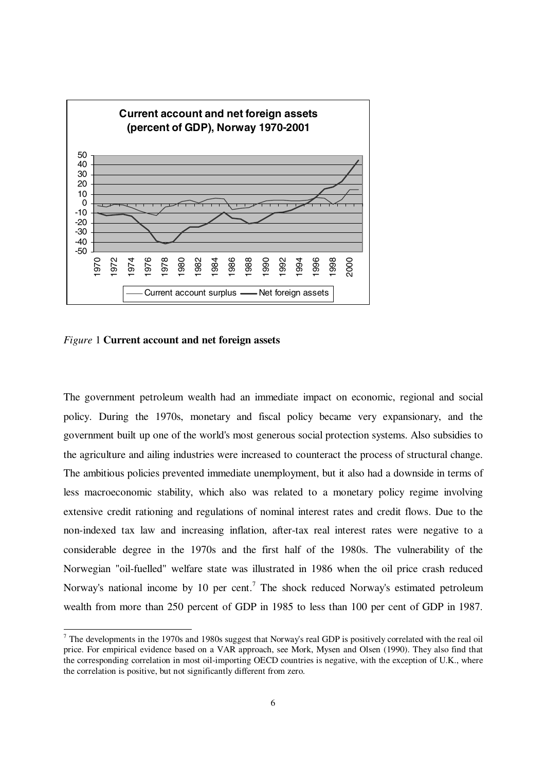

*Figure* 1 **Current account and net foreign assets**

-

The government petroleum wealth had an immediate impact on economic, regional and social policy. During the 1970s, monetary and fiscal policy became very expansionary, and the government built up one of the world's most generous social protection systems. Also subsidies to the agriculture and ailing industries were increased to counteract the process of structural change. The ambitious policies prevented immediate unemployment, but it also had a downside in terms of less macroeconomic stability, which also was related to a monetary policy regime involving extensive credit rationing and regulations of nominal interest rates and credit flows. Due to the non-indexed tax law and increasing inflation, after-tax real interest rates were negative to a considerable degree in the 1970s and the first half of the 1980s. The vulnerability of the Norwegian "oil-fuelled" welfare state was illustrated in 1986 when the oil price crash reduced Norway's national income by 10 per cent.<sup>7</sup> The shock reduced Norway's estimated petroleum wealth from more than 250 percent of GDP in 1985 to less than 100 per cent of GDP in 1987.

 $<sup>7</sup>$  The developments in the 1970s and 1980s suggest that Norway's real GDP is positively correlated with the real oil</sup> price. For empirical evidence based on a VAR approach, see Mork, Mysen and Olsen (1990). They also find that the corresponding correlation in most oil-importing OECD countries is negative, with the exception of U.K., where the correlation is positive, but not significantly different from zero.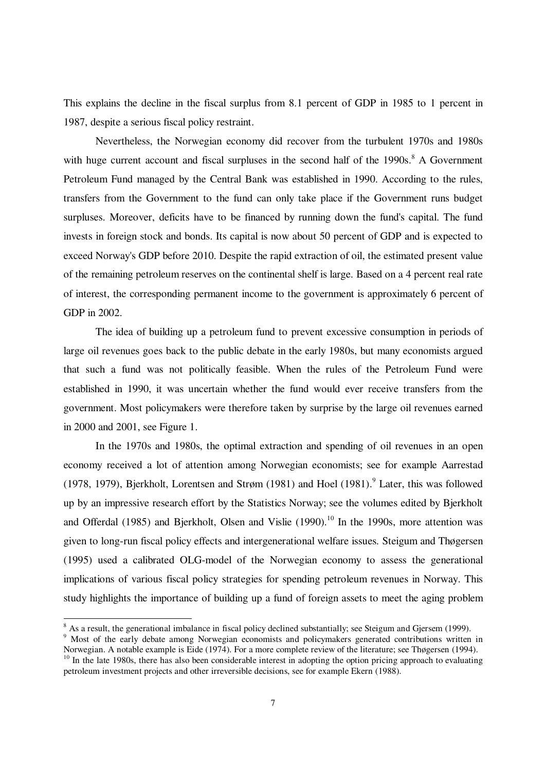This explains the decline in the fiscal surplus from 8.1 percent of GDP in 1985 to 1 percent in 1987, despite a serious fiscal policy restraint.

Nevertheless, the Norwegian economy did recover from the turbulent 1970s and 1980s with huge current account and fiscal surpluses in the second half of the  $1990s$ .<sup>8</sup> A Government Petroleum Fund managed by the Central Bank was established in 1990. According to the rules, transfers from the Government to the fund can only take place if the Government runs budget surpluses. Moreover, deficits have to be financed by running down the fund's capital. The fund invests in foreign stock and bonds. Its capital is now about 50 percent of GDP and is expected to exceed Norway's GDP before 2010. Despite the rapid extraction of oil, the estimated present value of the remaining petroleum reserves on the continental shelf is large. Based on a 4 percent real rate of interest, the corresponding permanent income to the government is approximately 6 percent of GDP in 2002.

The idea of building up a petroleum fund to prevent excessive consumption in periods of large oil revenues goes back to the public debate in the early 1980s, but many economists argued that such a fund was not politically feasible. When the rules of the Petroleum Fund were established in 1990, it was uncertain whether the fund would ever receive transfers from the government. Most policymakers were therefore taken by surprise by the large oil revenues earned in 2000 and 2001, see Figure 1.

In the 1970s and 1980s, the optimal extraction and spending of oil revenues in an open economy received a lot of attention among Norwegian economists; see for example Aarrestad (1978, 1979), Bjerkholt, Lorentsen and Strøm (1981) and Hoel (1981). $^9$  Later, this was followed up by an impressive research effort by the Statistics Norway; see the volumes edited by Bjerkholt and Offerdal (1985) and Bierkholt, Olsen and Vislie (1990).<sup>10</sup> In the 1990s, more attention was given to long-run fiscal policy effects and intergenerational welfare issues. Steigum and Thøgersen (1995) used a calibrated OLG-model of the Norwegian economy to assess the generational implications of various fiscal policy strategies for spending petroleum revenues in Norway. This study highlights the importance of building up a fund of foreign assets to meet the aging problem

<sup>&</sup>lt;sup>8</sup> As a result, the generational imbalance in fiscal policy declined substantially; see Steigum and Gjersem (1999).

<sup>&</sup>lt;sup>9</sup> Most of the early debate among Norwegian economists and policymakers generated contributions written in Norwegian. A notable example is Eide (1974). For a more complete review of the literature; see Thøgersen (1994).<br><sup>10</sup> In the late 1980s, there has also been considerable interest in adopting the option pricing approach to

petroleum investment projects and other irreversible decisions, see for example Ekern (1988).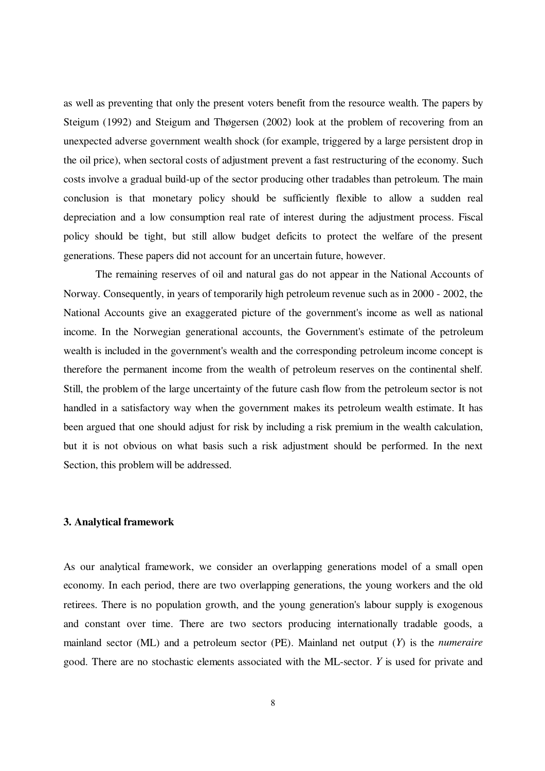as well as preventing that only the present voters benefit from the resource wealth. The papers by Steigum (1992) and Steigum and Thøgersen (2002) look at the problem of recovering from an unexpected adverse government wealth shock (for example, triggered by a large persistent drop in the oil price), when sectoral costs of adjustment prevent a fast restructuring of the economy. Such costs involve a gradual build-up of the sector producing other tradables than petroleum. The main conclusion is that monetary policy should be sufficiently flexible to allow a sudden real depreciation and a low consumption real rate of interest during the adjustment process. Fiscal policy should be tight, but still allow budget deficits to protect the welfare of the present generations. These papers did not account for an uncertain future, however.

The remaining reserves of oil and natural gas do not appear in the National Accounts of Norway. Consequently, in years of temporarily high petroleum revenue such as in 2000 - 2002, the National Accounts give an exaggerated picture of the government's income as well as national income. In the Norwegian generational accounts, the Government's estimate of the petroleum wealth is included in the government's wealth and the corresponding petroleum income concept is therefore the permanent income from the wealth of petroleum reserves on the continental shelf. Still, the problem of the large uncertainty of the future cash flow from the petroleum sector is not handled in a satisfactory way when the government makes its petroleum wealth estimate. It has been argued that one should adjust for risk by including a risk premium in the wealth calculation, but it is not obvious on what basis such a risk adjustment should be performed. In the next Section, this problem will be addressed.

#### **3. Analytical framework**

As our analytical framework, we consider an overlapping generations model of a small open economy. In each period, there are two overlapping generations, the young workers and the old retirees. There is no population growth, and the young generation's labour supply is exogenous and constant over time. There are two sectors producing internationally tradable goods, a mainland sector (ML) and a petroleum sector (PE). Mainland net output (*Y*) is the *numeraire* good. There are no stochastic elements associated with the ML-sector. *Y* is used for private and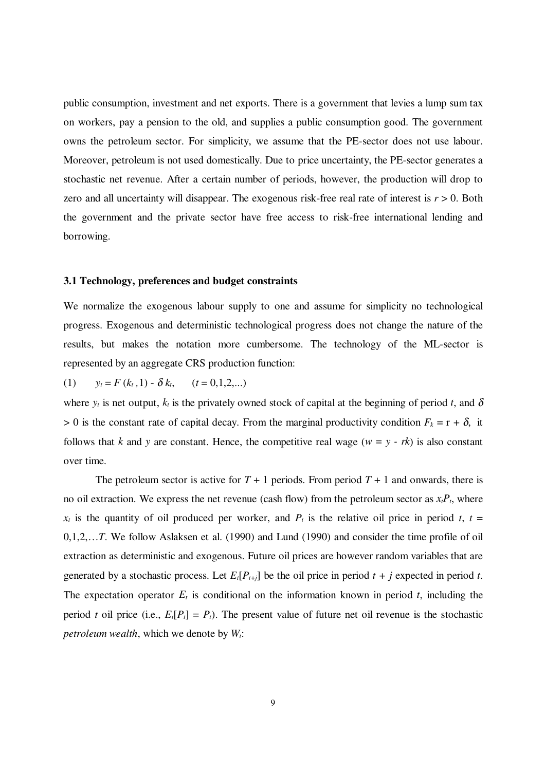public consumption, investment and net exports. There is a government that levies a lump sum tax on workers, pay a pension to the old, and supplies a public consumption good. The government owns the petroleum sector. For simplicity, we assume that the PE-sector does not use labour. Moreover, petroleum is not used domestically. Due to price uncertainty, the PE-sector generates a stochastic net revenue. After a certain number of periods, however, the production will drop to zero and all uncertainty will disappear. The exogenous risk-free real rate of interest is  $r > 0$ . Both the government and the private sector have free access to risk-free international lending and borrowing.

#### **3.1 Technology, preferences and budget constraints**

We normalize the exogenous labour supply to one and assume for simplicity no technological progress. Exogenous and deterministic technological progress does not change the nature of the results, but makes the notation more cumbersome. The technology of the ML-sector is represented by an aggregate CRS production function:

(1)  $y_t = F(k_t, 1) - \delta k_t$ ,  $(t = 0, 1, 2,...)$ 

where  $y_t$  is net output,  $k_t$  is the privately owned stock of capital at the beginning of period *t*, and  $\delta$  $> 0$  is the constant rate of capital decay. From the marginal productivity condition  $F_k = r + \delta$ , it follows that *k* and *y* are constant. Hence, the competitive real wage  $(w = y - rk)$  is also constant over time.

The petroleum sector is active for  $T + 1$  periods. From period  $T + 1$  and onwards, there is no oil extraction. We express the net revenue (cash flow) from the petroleum sector as  $x_t P_t$ , where  $x_t$  is the quantity of oil produced per worker, and  $P_t$  is the relative oil price in period *t*,  $t =$ 0,1,2,…*T*. We follow Aslaksen et al. (1990) and Lund (1990) and consider the time profile of oil extraction as deterministic and exogenous. Future oil prices are however random variables that are generated by a stochastic process. Let  $E_t[P_{t+1}]$  be the oil price in period  $t + j$  expected in period  $t$ . The expectation operator  $E_t$  is conditional on the information known in period  $t$ , including the period *t* oil price (i.e.,  $E_t[P_t] = P_t$ ). The present value of future net oil revenue is the stochastic *petroleum wealth*, which we denote by  $W_t$ :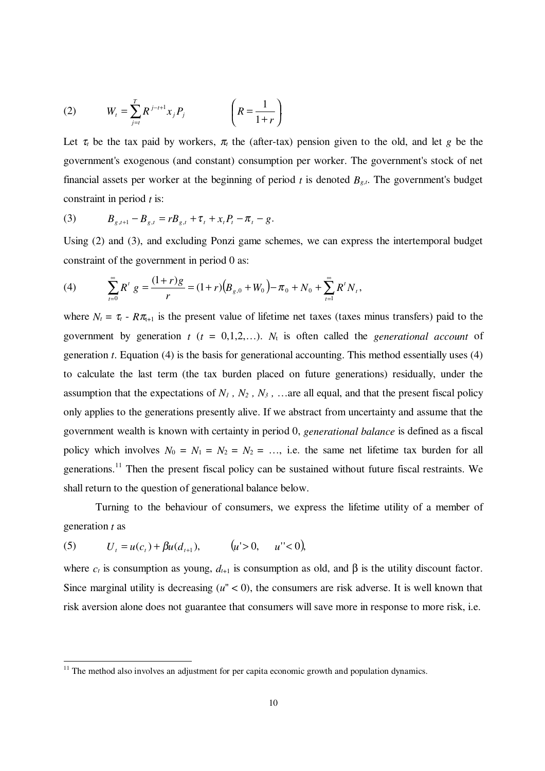(2) 
$$
W_{t} = \sum_{j=t}^{T} R^{j-t+1} x_{j} P_{j} \qquad \left( R = \frac{1}{1+r} \right)
$$

Let  $\tau_t$  be the tax paid by workers,  $\pi_t$  the (after-tax) pension given to the old, and let *g* be the government's exogenous (and constant) consumption per worker. The government's stock of net financial assets per worker at the beginning of period *t* is denoted *Bg,t*. The government's budget constraint in period *t* is:

(3) 
$$
B_{g,t+1} - B_{g,t} = rB_{g,t} + \tau_t + x_t P_t - \pi_t - g.
$$

Using (2) and (3), and excluding Ponzi game schemes, we can express the intertemporal budget constraint of the government in period 0 as:

(4) 
$$
\sum_{t=0}^{\infty} R^t g = \frac{(1+r)g}{r} = (1+r)\big(B_{g,0} + W_0\big) - \pi_0 + N_0 + \sum_{t=1}^{\infty} R^t N_t,
$$

where  $N_t = \tau_t - R \pi_{t+1}$  is the present value of lifetime net taxes (taxes minus transfers) paid to the government by generation  $t$  ( $t = 0,1,2,...$ ).  $N_t$  is often called the *generational account* of generation *t*. Equation (4) is the basis for generational accounting. This method essentially uses (4) to calculate the last term (the tax burden placed on future generations) residually, under the assumption that the expectations of  $N_1$ ,  $N_2$ ,  $N_3$ , …are all equal, and that the present fiscal policy only applies to the generations presently alive. If we abstract from uncertainty and assume that the government wealth is known with certainty in period 0, *generational balance* is defined as a fiscal policy which involves  $N_0 = N_1 = N_2 = N_2 = \dots$ , i.e. the same net lifetime tax burden for all generations.<sup>11</sup> Then the present fiscal policy can be sustained without future fiscal restraints. We shall return to the question of generational balance below.

Turning to the behaviour of consumers, we express the lifetime utility of a member of generation *t* as

(5) 
$$
U_t = u(c_t) + \beta u(d_{t+1}), \qquad (u' > 0, \quad u'' < 0)
$$

-

where  $c_t$  is consumption as young,  $d_{t+1}$  is consumption as old, and  $\beta$  is the utility discount factor. Since marginal utility is decreasing  $(u'' < 0)$ , the consumers are risk adverse. It is well known that risk aversion alone does not guarantee that consumers will save more in response to more risk, i.e.

 $11$  The method also involves an adjustment for per capita economic growth and population dynamics.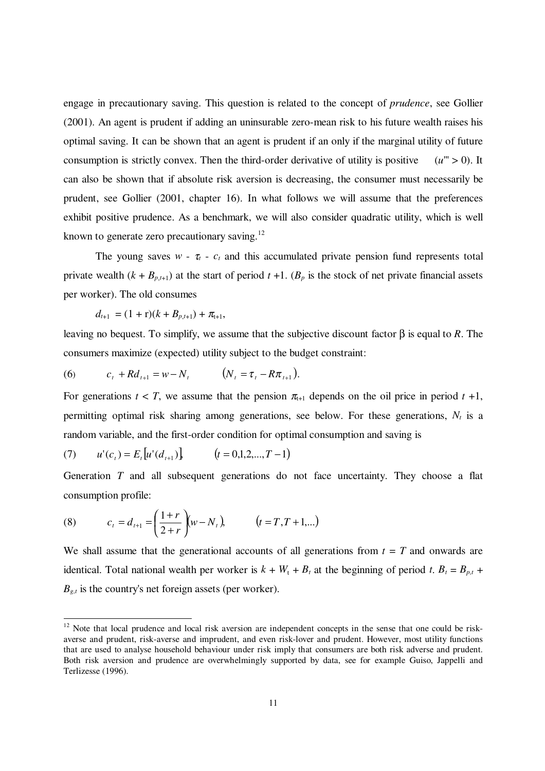engage in precautionary saving. This question is related to the concept of *prudence*, see Gollier (2001). An agent is prudent if adding an uninsurable zero-mean risk to his future wealth raises his optimal saving. It can be shown that an agent is prudent if an only if the marginal utility of future consumption is strictly convex. Then the third-order derivative of utility is positive  $(u'' > 0)$ . It can also be shown that if absolute risk aversion is decreasing, the consumer must necessarily be prudent, see Gollier (2001, chapter 16). In what follows we will assume that the preferences exhibit positive prudence. As a benchmark, we will also consider quadratic utility, which is well known to generate zero precautionary saving. $^{12}$ 

The young saves  $w - \tau_t - c_t$  and this accumulated private pension fund represents total private wealth  $(k + B_{p,t+1})$  at the start of period  $t + 1$ .  $(B_p$  is the stock of net private financial assets per worker). The old consumes

$$
d_{t+1} = (1+r)(k+B_{p,t+1}) + \pi_{t+1},
$$

leaving no bequest. To simplify, we assume that the subjective discount factor β is equal to *R*. The consumers maximize (expected) utility subject to the budget constraint:

(6) 
$$
c_t + Rd_{t+1} = w - N_t \qquad (N_t = \tau_t - R\pi_{t+1}).
$$

For generations  $t < T$ , we assume that the pension  $\pi_{t+1}$  depends on the oil price in period  $t + 1$ , permitting optimal risk sharing among generations, see below. For these generations,  $N_t$  is a random variable, and the first-order condition for optimal consumption and saving is

(7) 
$$
u'(c_t) = E_t[u'(d_{t+1})]
$$
  $(t = 0,1,2,...,T-1)$ 

1

Generation *T* and all subsequent generations do not face uncertainty. They choose a flat consumption profile:

(8) 
$$
c_t = d_{t+1} = \left(\frac{1+r}{2+r}\right)(w - N_t), \qquad (t = T, T + 1,...)
$$

We shall assume that the generational accounts of all generations from  $t = T$  and onwards are identical. Total national wealth per worker is  $k + W_t + B_t$  at the beginning of period *t*.  $B_t = B_{p,t}$  +  $B_{g,t}$  is the country's net foreign assets (per worker).

 $12$  Note that local prudence and local risk aversion are independent concepts in the sense that one could be riskaverse and prudent, risk-averse and imprudent, and even risk-lover and prudent. However, most utility functions that are used to analyse household behaviour under risk imply that consumers are both risk adverse and prudent. Both risk aversion and prudence are overwhelmingly supported by data, see for example Guiso, Jappelli and Terlizesse (1996).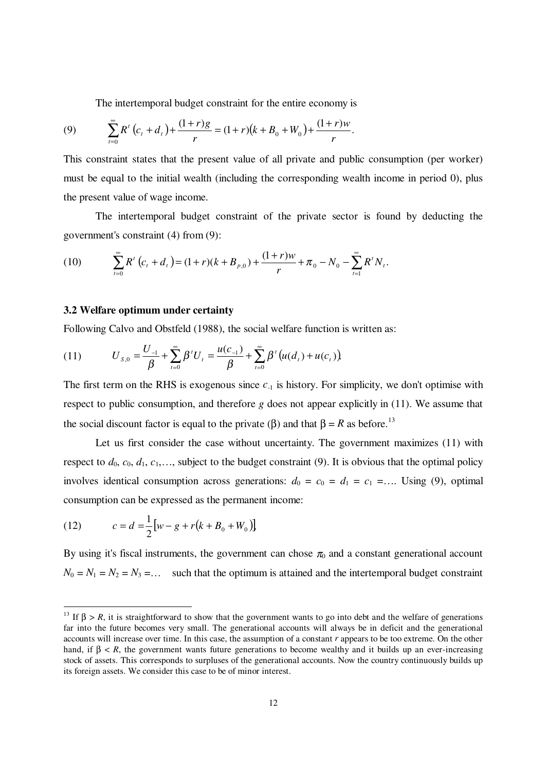The intertemporal budget constraint for the entire economy is

(9) 
$$
\sum_{t=0}^{\infty} R^{t} (c_{t} + d_{t}) + \frac{(1+r)g}{r} = (1+r)(k+B_{0}+W_{0}) + \frac{(1+r)w}{r}.
$$

This constraint states that the present value of all private and public consumption (per worker) must be equal to the initial wealth (including the corresponding wealth income in period 0), plus the present value of wage income.

 The intertemporal budget constraint of the private sector is found by deducting the government's constraint (4) from (9):

(10) 
$$
\sum_{t=0}^{\infty} R^{t} (c_{t} + d_{t}) = (1+r)(k+B_{p,0}) + \frac{(1+r)w}{r} + \pi_{0} - N_{0} - \sum_{t=1}^{\infty} R^{t} N_{t}.
$$

#### **3.2 Welfare optimum under certainty**

Following Calvo and Obstfeld (1988), the social welfare function is written as:

(11) 
$$
U_{s,0} = \frac{U_{-1}}{\beta} + \sum_{t=0}^{\infty} \beta^t U_t = \frac{u(c_{-1})}{\beta} + \sum_{t=0}^{\infty} \beta^t (u(d_t) + u(c_t)).
$$

The first term on the RHS is exogenous since  $c_{-1}$  is history. For simplicity, we don't optimise with respect to public consumption, and therefore *g* does not appear explicitly in (11). We assume that the social discount factor is equal to the private (β) and that  $β = R$  as before.<sup>13</sup>

Let us first consider the case without uncertainty. The government maximizes (11) with respect to  $d_0$ ,  $c_0$ ,  $d_1$ ,  $c_1$ ,..., subject to the budget constraint (9). It is obvious that the optimal policy involves identical consumption across generations:  $d_0 = c_0 = d_1 = c_1 = \dots$  Using (9), optimal consumption can be expressed as the permanent income:

(12) 
$$
c = d = \frac{1}{2} [w - g + r(k + B_0 + W_0)]
$$

-

By using it's fiscal instruments, the government can chose  $\pi_0$  and a constant generational account  $N_0 = N_1 = N_2 = N_3 = \dots$  such that the optimum is attained and the intertemporal budget constraint

<sup>&</sup>lt;sup>13</sup> If  $\beta > R$ , it is straightforward to show that the government wants to go into debt and the welfare of generations far into the future becomes very small. The generational accounts will always be in deficit and the generational accounts will increase over time. In this case, the assumption of a constant *r* appears to be too extreme. On the other hand, if  $\beta < R$ , the government wants future generations to become wealthy and it builds up an ever-increasing stock of assets. This corresponds to surpluses of the generational accounts. Now the country continuously builds up its foreign assets. We consider this case to be of minor interest.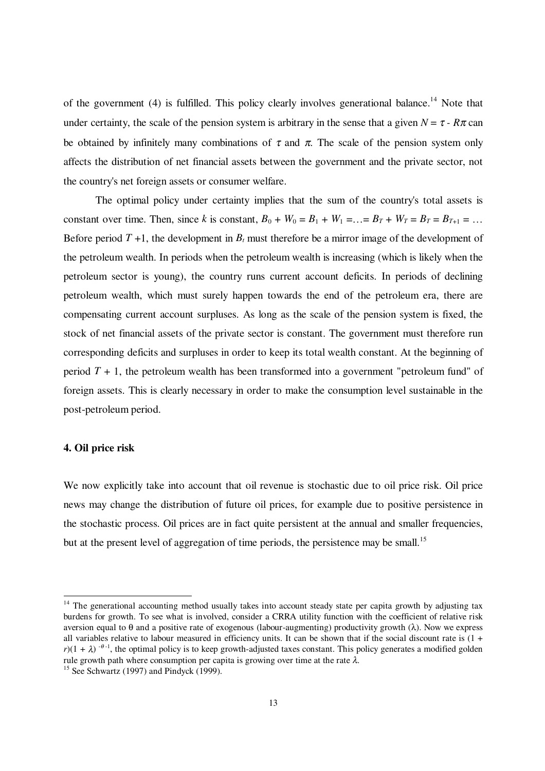of the government  $(4)$  is fulfilled. This policy clearly involves generational balance.<sup>14</sup> Note that under certainty, the scale of the pension system is arbitrary in the sense that a given  $N = \tau \cdot R\pi$  can be obtained by infinitely many combinations of  $\tau$  and  $\pi$ . The scale of the pension system only affects the distribution of net financial assets between the government and the private sector, not the country's net foreign assets or consumer welfare.

The optimal policy under certainty implies that the sum of the country's total assets is constant over time. Then, since *k* is constant,  $B_0 + W_0 = B_1 + W_1 = ... = B_T + W_T = B_T = B_{T+1} = ...$ Before period  $T + 1$ , the development in  $B_t$  must therefore be a mirror image of the development of the petroleum wealth. In periods when the petroleum wealth is increasing (which is likely when the petroleum sector is young), the country runs current account deficits. In periods of declining petroleum wealth, which must surely happen towards the end of the petroleum era, there are compensating current account surpluses. As long as the scale of the pension system is fixed, the stock of net financial assets of the private sector is constant. The government must therefore run corresponding deficits and surpluses in order to keep its total wealth constant. At the beginning of period  $T + 1$ , the petroleum wealth has been transformed into a government "petroleum fund" of foreign assets. This is clearly necessary in order to make the consumption level sustainable in the post-petroleum period.

#### **4. Oil price risk**

-

We now explicitly take into account that oil revenue is stochastic due to oil price risk. Oil price news may change the distribution of future oil prices, for example due to positive persistence in the stochastic process. Oil prices are in fact quite persistent at the annual and smaller frequencies, but at the present level of aggregation of time periods, the persistence may be small.<sup>15</sup>

<sup>&</sup>lt;sup>14</sup> The generational accounting method usually takes into account steady state per capita growth by adjusting tax burdens for growth. To see what is involved, consider a CRRA utility function with the coefficient of relative risk aversion equal to θ and a positive rate of exogenous (labour-augmenting) productivity growth (λ). Now we express all variables relative to labour measured in efficiency units. It can be shown that if the social discount rate is  $(1 +$  $r(1 + \lambda)^{-\theta-1}$ , the optimal policy is to keep growth-adjusted taxes constant. This policy generates a modified golden rule growth path where consumption per capita is growing over time at the rate  $λ$ . <sup>15</sup> See Schwartz (1997) and Pindyck (1999).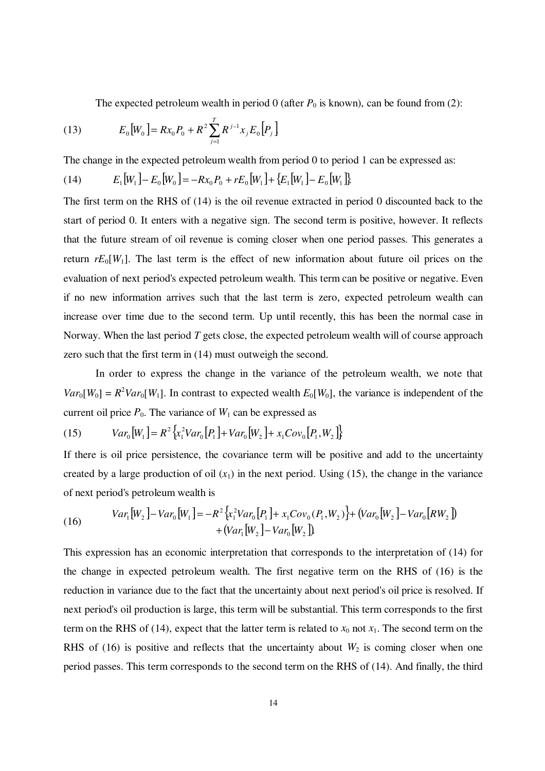The expected petroleum wealth in period 0 (after  $P_0$  is known), can be found from (2):

(13) 
$$
E_0[W_0] = Rx_0 P_0 + R^2 \sum_{j=1}^T R^{j-1} x_j E_0[P_j]
$$

The change in the expected petroleum wealth from period 0 to period 1 can be expressed as:

(14) 
$$
E_1[W_1] - E_0[W_0] = -Rx_0P_0 + rE_0[W_1] + \{E_1[W_1] - E_0[W_1]\}.
$$

The first term on the RHS of (14) is the oil revenue extracted in period 0 discounted back to the start of period 0. It enters with a negative sign. The second term is positive, however. It reflects that the future stream of oil revenue is coming closer when one period passes. This generates a return  $rE_0[W_1]$ . The last term is the effect of new information about future oil prices on the evaluation of next period's expected petroleum wealth. This term can be positive or negative. Even if no new information arrives such that the last term is zero, expected petroleum wealth can increase over time due to the second term. Up until recently, this has been the normal case in Norway. When the last period *T* gets close, the expected petroleum wealth will of course approach zero such that the first term in (14) must outweigh the second.

 In order to express the change in the variance of the petroleum wealth, we note that  $Var_0[W_0] = R^2Var_0[W_1]$ . In contrast to expected wealth  $E_0[W_0]$ , the variance is independent of the current oil price  $P_0$ . The variance of  $W_1$  can be expressed as

(15) 
$$
Var_0[W_1] = R^2 \left\{ x_1^2 Var_0[P_1] + Var_0[W_2] + x_1 Cov_0[P_1, W_2] \right\}
$$

If there is oil price persistence, the covariance term will be positive and add to the uncertainty created by a large production of oil  $(x_1)$  in the next period. Using (15), the change in the variance of next period's petroleum wealth is

(16) 
$$
Var_{1}[W_{2}] - Var_{0}[W_{1}] = -R^{2} \{x_{1}^{2}Var_{0}[P_{1}] + x_{1}Cov_{0}(P_{1}, W_{2})\} + (Var_{0}[W_{2}] - Var_{0}[RW_{2}]) + (Var_{1}[W_{2}] - Var_{0}[W_{2}])
$$

This expression has an economic interpretation that corresponds to the interpretation of (14) for the change in expected petroleum wealth. The first negative term on the RHS of (16) is the reduction in variance due to the fact that the uncertainty about next period's oil price is resolved. If next period's oil production is large, this term will be substantial. This term corresponds to the first term on the RHS of (14), expect that the latter term is related to  $x_0$  not  $x_1$ . The second term on the RHS of (16) is positive and reflects that the uncertainty about  $W_2$  is coming closer when one period passes. This term corresponds to the second term on the RHS of (14). And finally, the third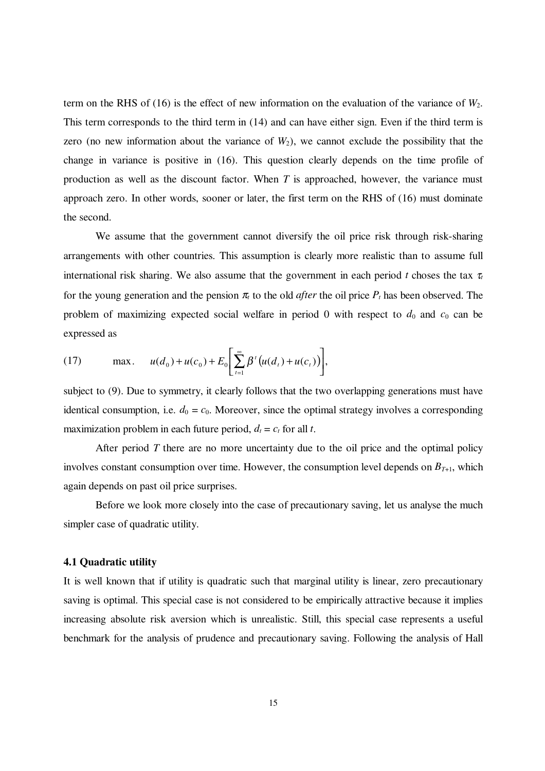term on the RHS of (16) is the effect of new information on the evaluation of the variance of  $W_2$ . This term corresponds to the third term in (14) and can have either sign. Even if the third term is zero (no new information about the variance of  $W_2$ ), we cannot exclude the possibility that the change in variance is positive in (16). This question clearly depends on the time profile of production as well as the discount factor. When *T* is approached, however, the variance must approach zero. In other words, sooner or later, the first term on the RHS of (16) must dominate the second.

We assume that the government cannot diversify the oil price risk through risk-sharing arrangements with other countries. This assumption is clearly more realistic than to assume full international risk sharing. We also assume that the government in each period *t* choses the tax  $\tau_t$ for the young generation and the pension  $\pi$  to the old *after* the oil price  $P_t$  has been observed. The problem of maximizing expected social welfare in period 0 with respect to  $d_0$  and  $c_0$  can be expressed as

(17) 
$$
\max. \quad u(d_0) + u(c_0) + E_0 \bigg[ \sum_{t=1}^{\infty} \beta^t \big( u(d_t) + u(c_t) \big) \bigg],
$$

subject to (9). Due to symmetry, it clearly follows that the two overlapping generations must have identical consumption, i.e.  $d_0 = c_0$ . Moreover, since the optimal strategy involves a corresponding maximization problem in each future period,  $d_t = c_t$  for all t.

After period *T* there are no more uncertainty due to the oil price and the optimal policy involves constant consumption over time. However, the consumption level depends on  $B_{T+1}$ , which again depends on past oil price surprises.

Before we look more closely into the case of precautionary saving, let us analyse the much simpler case of quadratic utility.

#### **4.1 Quadratic utility**

It is well known that if utility is quadratic such that marginal utility is linear, zero precautionary saving is optimal. This special case is not considered to be empirically attractive because it implies increasing absolute risk aversion which is unrealistic. Still, this special case represents a useful benchmark for the analysis of prudence and precautionary saving. Following the analysis of Hall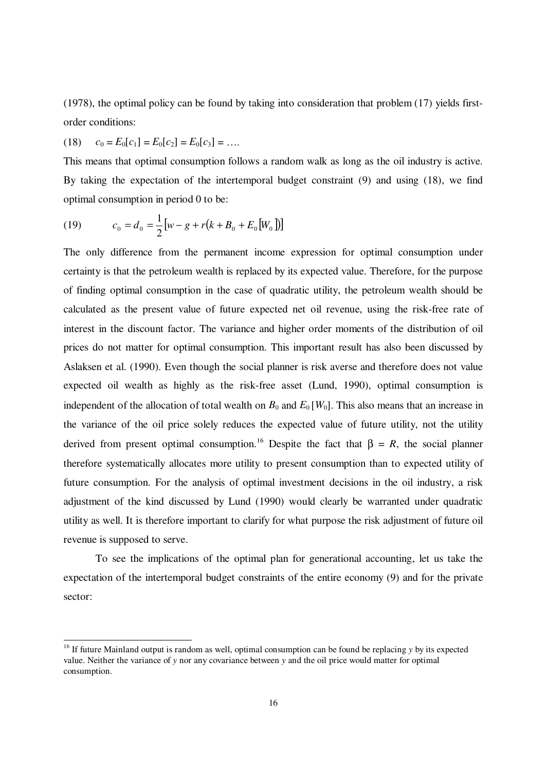(1978), the optimal policy can be found by taking into consideration that problem (17) yields firstorder conditions:

 $(18)$   $c_0 = E_0[c_1] = E_0[c_2] = E_0[c_3] = \dots$ 

-

This means that optimal consumption follows a random walk as long as the oil industry is active. By taking the expectation of the intertemporal budget constraint (9) and using (18), we find optimal consumption in period 0 to be:

(19) 
$$
c_0 = d_0 = \frac{1}{2} \big[ w - g + r(k + B_0 + E_0[W_0]) \big]
$$

The only difference from the permanent income expression for optimal consumption under certainty is that the petroleum wealth is replaced by its expected value. Therefore, for the purpose of finding optimal consumption in the case of quadratic utility, the petroleum wealth should be calculated as the present value of future expected net oil revenue, using the risk-free rate of interest in the discount factor. The variance and higher order moments of the distribution of oil prices do not matter for optimal consumption. This important result has also been discussed by Aslaksen et al. (1990). Even though the social planner is risk averse and therefore does not value expected oil wealth as highly as the risk-free asset (Lund, 1990), optimal consumption is independent of the allocation of total wealth on  $B_0$  and  $E_0[W_0]$ . This also means that an increase in the variance of the oil price solely reduces the expected value of future utility, not the utility derived from present optimal consumption.<sup>16</sup> Despite the fact that  $\beta = R$ , the social planner therefore systematically allocates more utility to present consumption than to expected utility of future consumption. For the analysis of optimal investment decisions in the oil industry, a risk adjustment of the kind discussed by Lund (1990) would clearly be warranted under quadratic utility as well. It is therefore important to clarify for what purpose the risk adjustment of future oil revenue is supposed to serve.

 To see the implications of the optimal plan for generational accounting, let us take the expectation of the intertemporal budget constraints of the entire economy (9) and for the private sector:

<sup>&</sup>lt;sup>16</sup> If future Mainland output is random as well, optimal consumption can be found be replacing *y* by its expected value. Neither the variance of *y* nor any covariance between *y* and the oil price would matter for optimal consumption.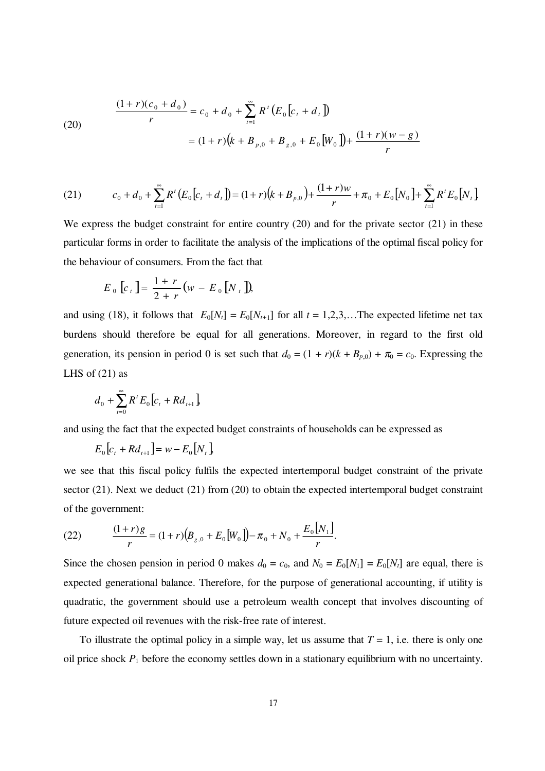(20)  
\n
$$
\frac{(1+r)(c_0+d_0)}{r} = c_0 + d_0 + \sum_{t=1}^{\infty} R^t (E_0 [c_t + d_t])
$$
\n
$$
= (1+r)(k + B_{p,0} + B_{g,0} + E_0 [W_0]) + \frac{(1+r)(w-g)}{r}
$$

(21) 
$$
c_0 + d_0 + \sum_{t=1}^{\infty} R^t (E_0 [c_t + d_t]) = (1+r)(k + B_{p,0}) + \frac{(1+r)w}{r} + \pi_0 + E_0 [N_0] + \sum_{t=1}^{\infty} R^t E_0 [N_t]
$$

We express the budget constraint for entire country (20) and for the private sector (21) in these particular forms in order to facilitate the analysis of the implications of the optimal fiscal policy for the behaviour of consumers. From the fact that

$$
E_0 [c_1] = \frac{1+r}{2+r} (w - E_0 [N_1])
$$

and using (18), it follows that  $E_0[N_t] = E_0[N_{t+1}]$  for all  $t = 1, 2, 3, \dots$  The expected lifetime net tax burdens should therefore be equal for all generations. Moreover, in regard to the first old generation, its pension in period 0 is set such that  $d_0 = (1 + r)(k + B_{p,0}) + \pi_0 = c_0$ . Expressing the LHS of  $(21)$  as

$$
d_0+\sum_{t=0}^{\infty}R^tE_0\big[c_t+Rd_{t+1}\big]\,
$$

and using the fact that the expected budget constraints of households can be expressed as

$$
E_0 [c_t + R d_{t+1}] = w - E_0 [N_t],
$$

we see that this fiscal policy fulfils the expected intertemporal budget constraint of the private sector (21). Next we deduct (21) from (20) to obtain the expected intertemporal budget constraint of the government:

(22) 
$$
\frac{(1+r)g}{r} = (1+r)\big(B_{g,0} + E_0[W_0]\big) - \pi_0 + N_0 + \frac{E_0[N_1]}{r}.
$$

Since the chosen pension in period 0 makes  $d_0 = c_0$ , and  $N_0 = E_0[N_1] = E_0[N_t]$  are equal, there is expected generational balance. Therefore, for the purpose of generational accounting, if utility is quadratic, the government should use a petroleum wealth concept that involves discounting of future expected oil revenues with the risk-free rate of interest.

To illustrate the optimal policy in a simple way, let us assume that  $T = 1$ , i.e. there is only one oil price shock  $P_1$  before the economy settles down in a stationary equilibrium with no uncertainty.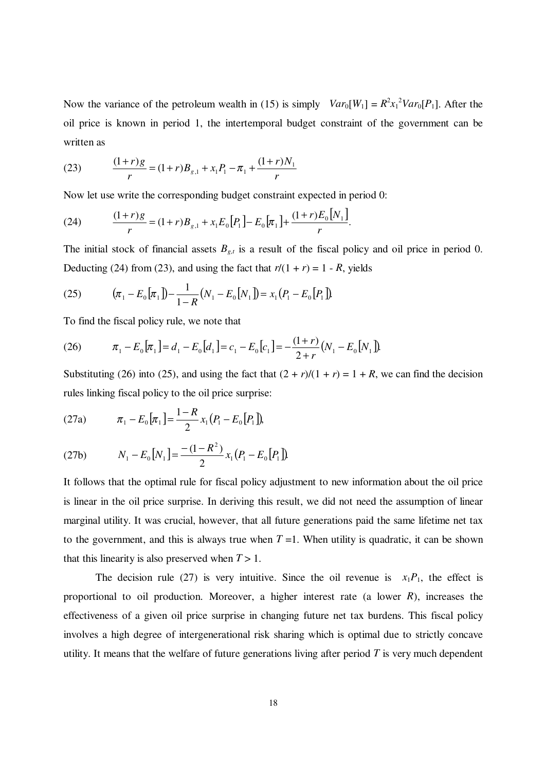Now the variance of the petroleum wealth in (15) is simply  $Var_0[W_1] = R^2 x_1^2 Var_0[P_1]$ . After the oil price is known in period 1, the intertemporal budget constraint of the government can be written as

(23) 
$$
\frac{(1+r)g}{r} = (1+r)B_{g,1} + x_1P_1 - \pi_1 + \frac{(1+r)N_1}{r}
$$

Now let use write the corresponding budget constraint expected in period 0:

(24) 
$$
\frac{(1+r)g}{r} = (1+r)B_{g,1} + x_1 E_0 [P_1] - E_0 [\pi_1] + \frac{(1+r)E_0 [N_1]}{r}.
$$

The initial stock of financial assets  $B_{g,t}$  is a result of the fiscal policy and oil price in period 0. Deducting (24) from (23), and using the fact that  $r/(1 + r) = 1 - R$ , yields

(25) 
$$
(\pi_1 - E_0[\pi_1]) - \frac{1}{1 - R}(N_1 - E_0[N_1]) = x_1(P_1 - E_0[P_1])
$$

To find the fiscal policy rule, we note that

(26) 
$$
\pi_1 - E_0[\pi_1] = d_1 - E_0[d_1] = c_1 - E_0[c_1] = -\frac{(1+r)}{2+r}(N_1 - E_0[N_1]).
$$

Substituting (26) into (25), and using the fact that  $(2 + r)/(1 + r) = 1 + R$ , we can find the decision rules linking fiscal policy to the oil price surprise:

(27a) 
$$
\pi_1 - E_0[\pi_1] = \frac{1 - R}{2} x_1 (P_1 - E_0[P_1]),
$$

(27b) 
$$
N_1 - E_0[N_1] = \frac{-(1 - R^2)}{2} x_1 (P_1 - E_0[P_1])
$$

It follows that the optimal rule for fiscal policy adjustment to new information about the oil price is linear in the oil price surprise. In deriving this result, we did not need the assumption of linear marginal utility. It was crucial, however, that all future generations paid the same lifetime net tax to the government, and this is always true when  $T = 1$ . When utility is quadratic, it can be shown that this linearity is also preserved when  $T > 1$ .

The decision rule (27) is very intuitive. Since the oil revenue is  $x_1P_1$ , the effect is proportional to oil production. Moreover, a higher interest rate (a lower *R*), increases the effectiveness of a given oil price surprise in changing future net tax burdens. This fiscal policy involves a high degree of intergenerational risk sharing which is optimal due to strictly concave utility. It means that the welfare of future generations living after period *T* is very much dependent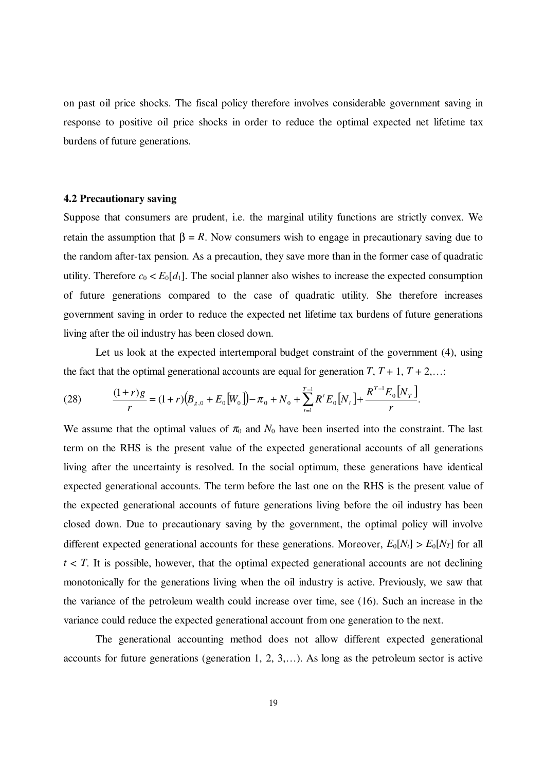on past oil price shocks. The fiscal policy therefore involves considerable government saving in response to positive oil price shocks in order to reduce the optimal expected net lifetime tax burdens of future generations.

#### **4.2 Precautionary saving**

Suppose that consumers are prudent, i.e. the marginal utility functions are strictly convex. We retain the assumption that  $\beta = R$ . Now consumers wish to engage in precautionary saving due to the random after-tax pension. As a precaution, they save more than in the former case of quadratic utility. Therefore  $c_0 < E_0[d_1]$ . The social planner also wishes to increase the expected consumption of future generations compared to the case of quadratic utility. She therefore increases government saving in order to reduce the expected net lifetime tax burdens of future generations living after the oil industry has been closed down.

 Let us look at the expected intertemporal budget constraint of the government (4), using the fact that the optimal generational accounts are equal for generation  $T$ ,  $T$  + 1,  $T$  + 2,...:

(28) 
$$
\frac{(1+r)g}{r} = (1+r)\big(B_{g,0} + E_0[W_0]\big) - \pi_0 + N_0 + \sum_{t=1}^{T-1} R^t E_0[N_t] + \frac{R^{T-1} E_0[N_T]}{r}.
$$

We assume that the optimal values of  $\pi_0$  and  $N_0$  have been inserted into the constraint. The last term on the RHS is the present value of the expected generational accounts of all generations living after the uncertainty is resolved. In the social optimum, these generations have identical expected generational accounts. The term before the last one on the RHS is the present value of the expected generational accounts of future generations living before the oil industry has been closed down. Due to precautionary saving by the government, the optimal policy will involve different expected generational accounts for these generations. Moreover,  $E_0[N_t] > E_0[N_T]$  for all  $t < T$ . It is possible, however, that the optimal expected generational accounts are not declining monotonically for the generations living when the oil industry is active. Previously, we saw that the variance of the petroleum wealth could increase over time, see (16). Such an increase in the variance could reduce the expected generational account from one generation to the next.

 The generational accounting method does not allow different expected generational accounts for future generations (generation 1, 2, 3,…). As long as the petroleum sector is active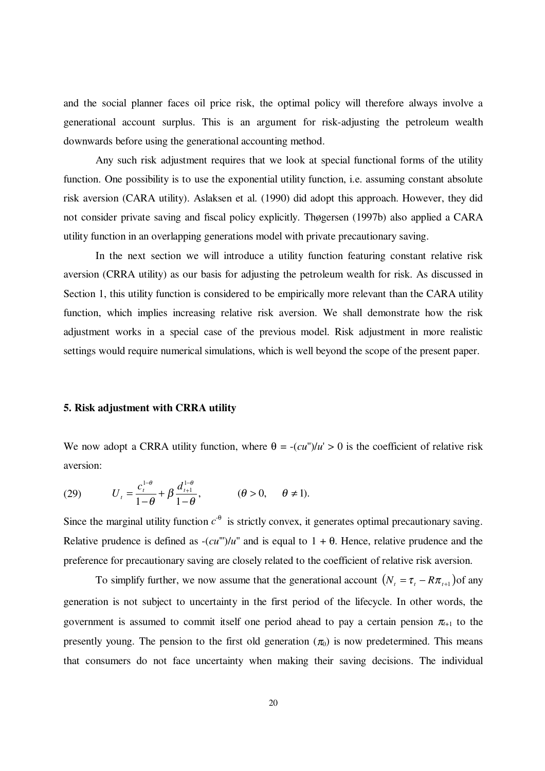and the social planner faces oil price risk, the optimal policy will therefore always involve a generational account surplus. This is an argument for risk-adjusting the petroleum wealth downwards before using the generational accounting method.

Any such risk adjustment requires that we look at special functional forms of the utility function. One possibility is to use the exponential utility function, i.e. assuming constant absolute risk aversion (CARA utility). Aslaksen et al. (1990) did adopt this approach. However, they did not consider private saving and fiscal policy explicitly. Thøgersen (1997b) also applied a CARA utility function in an overlapping generations model with private precautionary saving.

 In the next section we will introduce a utility function featuring constant relative risk aversion (CRRA utility) as our basis for adjusting the petroleum wealth for risk. As discussed in Section 1, this utility function is considered to be empirically more relevant than the CARA utility function, which implies increasing relative risk aversion. We shall demonstrate how the risk adjustment works in a special case of the previous model. Risk adjustment in more realistic settings would require numerical simulations, which is well beyond the scope of the present paper.

### **5. Risk adjustment with CRRA utility**

We now adopt a CRRA utility function, where  $\theta = -(cu^{\prime\prime})/u^{\prime} > 0$  is the coefficient of relative risk aversion:

(29) 
$$
U_{t} = \frac{c_{t}^{1-\theta}}{1-\theta} + \beta \frac{d_{t+1}^{1-\theta}}{1-\theta}, \qquad (\theta > 0, \quad \theta \neq 1).
$$

Since the marginal utility function  $c^{-\theta}$  is strictly convex, it generates optimal precautionary saving. Relative prudence is defined as  $-(cu^{\prime\prime\prime})/u^{\prime\prime}$  and is equal to  $1 + \theta$ . Hence, relative prudence and the preference for precautionary saving are closely related to the coefficient of relative risk aversion.

To simplify further, we now assume that the generational account  $(N_t = \tau_t - R\pi_{t+1})$  of any generation is not subject to uncertainty in the first period of the lifecycle. In other words, the government is assumed to commit itself one period ahead to pay a certain pension  $\pi_{t+1}$  to the presently young. The pension to the first old generation  $(\pi_0)$  is now predetermined. This means that consumers do not face uncertainty when making their saving decisions. The individual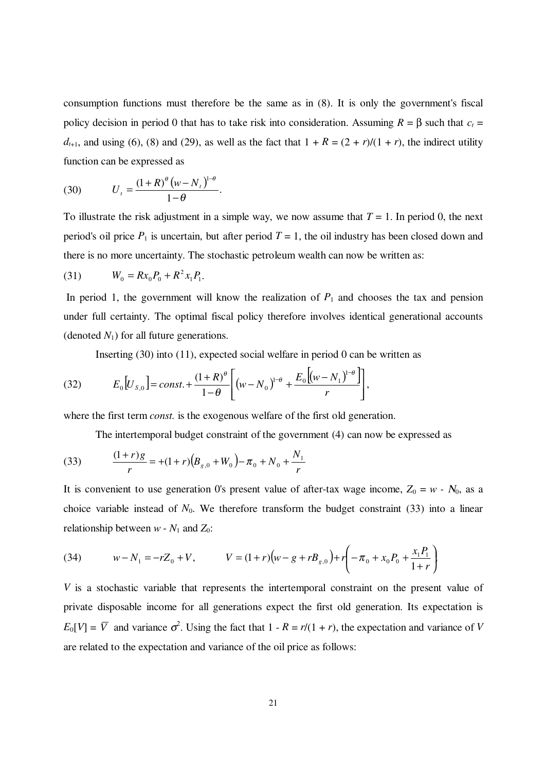consumption functions must therefore be the same as in (8). It is only the government's fiscal policy decision in period 0 that has to take risk into consideration. Assuming  $R = \beta$  such that  $c_t$  =  $d_{t+1}$ , and using (6), (8) and (29), as well as the fact that  $1 + R = (2 + r)/(1 + r)$ , the indirect utility function can be expressed as

(30) 
$$
U_t = \frac{(1+R)^{\theta} (w - N_t)^{1-\theta}}{1-\theta}.
$$

To illustrate the risk adjustment in a simple way, we now assume that  $T = 1$ . In period 0, the next period's oil price  $P_1$  is uncertain, but after period  $T = 1$ , the oil industry has been closed down and there is no more uncertainty. The stochastic petroleum wealth can now be written as:

(31) 
$$
W_0 = Rx_0 P_0 + R^2 x_1 P_1.
$$

In period 1, the government will know the realization of  $P_1$  and chooses the tax and pension under full certainty. The optimal fiscal policy therefore involves identical generational accounts (denoted  $N_1$ ) for all future generations.

Inserting (30) into (11), expected social welfare in period 0 can be written as

(32) 
$$
E_0[U_{s,0}] = const. + \frac{(1+R)^{\theta}}{1-\theta} \left[ (w - N_0)^{1-\theta} + \frac{E_0[(w - N_1)^{1-\theta}]}{r} \right],
$$

where the first term *const*. is the exogenous welfare of the first old generation.

The intertemporal budget constraint of the government (4) can now be expressed as

(33) 
$$
\frac{(1+r)g}{r} = +(1+r)\big(B_{g,0} + W_0\big) - \pi_0 + N_0 + \frac{N_1}{r}
$$

It is convenient to use generation 0's present value of after-tax wage income,  $Z_0 = w - N_0$ , as a choice variable instead of  $N_0$ . We therefore transform the budget constraint (33) into a linear relationship between  $w - N_1$  and  $Z_0$ :

(34) 
$$
w - N_1 = -rZ_0 + V, \qquad V = (1+r)(w - g + rB_{g,0}) + r\left(-\pi_0 + x_0P_0 + \frac{x_1P_1}{1+r}\right)
$$

*V* is a stochastic variable that represents the intertemporal constraint on the present value of private disposable income for all generations expect the first old generation. Its expectation is  $E_0[V] = \overline{V}$  and variance  $\sigma^2$ . Using the fact that  $1 - R = r/(1 + r)$ , the expectation and variance of *V* are related to the expectation and variance of the oil price as follows: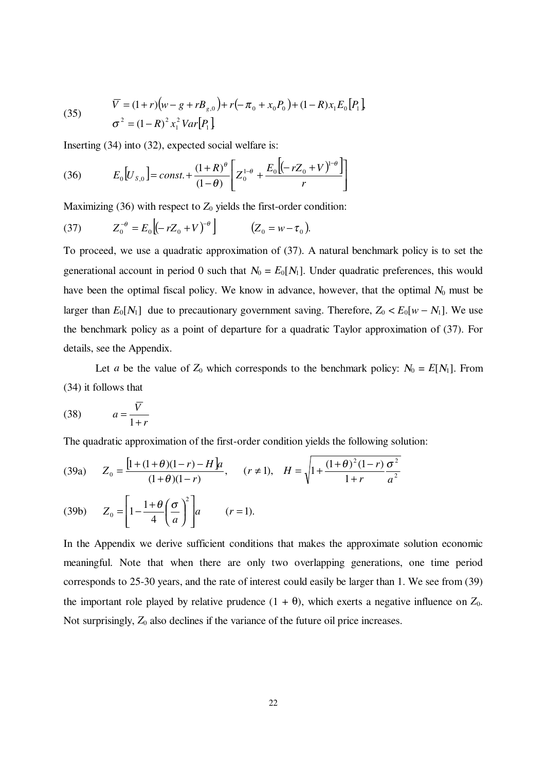(35) 
$$
\overline{V} = (1+r)(w - g + rB_{g,0}) + r(-\pi_0 + x_0P_0) + (1-R)x_1E_0[P_1]
$$

$$
\sigma^2 = (1-R)^2 x_1^2 Var[P_1]
$$

Inserting (34) into (32), expected social welfare is:

(36) 
$$
E_0[U_{s,0}] = const. + \frac{(1+R)^{\theta}}{(1-\theta)} \left[ Z_0^{1-\theta} + \frac{E_0\left[(-rZ_0 + V)^{1-\theta}\right]}{r} \right]
$$

Maximizing (36) with respect to  $Z_0$  yields the first-order condition:

(37) 
$$
Z_0^{-\theta} = E_0 \Big[ (-rZ_0 + V)^{-\theta} \Big] \qquad (Z_0 = w - \tau_0).
$$

To proceed, we use a quadratic approximation of (37). A natural benchmark policy is to set the generational account in period 0 such that  $N_0 = E_0[N_1]$ . Under quadratic preferences, this would have been the optimal fiscal policy. We know in advance, however, that the optimal  $N_0$  must be larger than  $E_0[N_1]$  due to precautionary government saving. Therefore,  $Z_0 < E_0[w - N_1]$ . We use the benchmark policy as a point of departure for a quadratic Taylor approximation of (37). For details, see the Appendix.

Let *a* be the value of  $Z_0$  which corresponds to the benchmark policy:  $N_0 = E[N_1]$ . From (34) it follows that

$$
(38) \t a = \frac{\overline{V}}{1+r}
$$

The quadratic approximation of the first-order condition yields the following solution:

(39a) 
$$
Z_0 = \frac{\left[1 + (1 + \theta)(1 - r) - H\right]a}{(1 + \theta)(1 - r)}, \quad (r \neq 1), \quad H = \sqrt{1 + \frac{(1 + \theta)^2 (1 - r)}{1 + r} \frac{\sigma^2}{a^2}}
$$
  
(39b) 
$$
Z_0 = \left[1 - \frac{1 + \theta}{4} \left(\frac{\sigma}{a}\right)^2\right]a \quad (r = 1).
$$

In the Appendix we derive sufficient conditions that makes the approximate solution economic meaningful. Note that when there are only two overlapping generations, one time period corresponds to 25-30 years, and the rate of interest could easily be larger than 1. We see from (39) the important role played by relative prudence  $(1 + θ)$ , which exerts a negative influence on  $Z_0$ . Not surprisingly,  $Z_0$  also declines if the variance of the future oil price increases.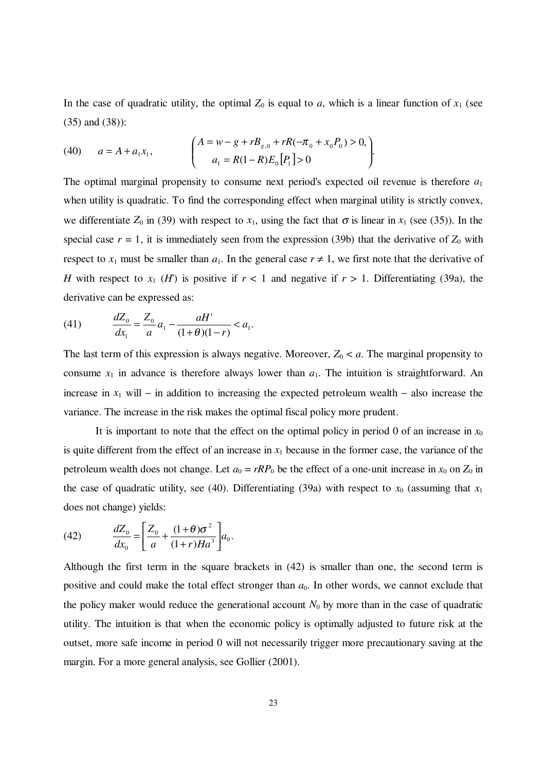In the case of quadratic utility, the optimal  $Z_0$  is equal to *a*, which is a linear function of  $x_1$  (see (35) and (38)):

(40) 
$$
a = A + a_1 x_1, \qquad \begin{pmatrix} A = w - g + r B_{g,0} + rR(-\pi_0 + x_0 P_0) > 0, \\ a_1 = R(1 - R)E_0[P_1] > 0 \end{pmatrix}.
$$

The optimal marginal propensity to consume next period's expected oil revenue is therefore  $a_1$ when utility is quadratic. To find the corresponding effect when marginal utility is strictly convex, we differentiate  $Z_0$  in (39) with respect to  $x_1$ , using the fact that  $\sigma$  is linear in  $x_1$  (see (35)). In the special case  $r = 1$ , it is immediately seen from the expression (39b) that the derivative of  $Z_0$  with respect to  $x_1$  must be smaller than  $a_1$ . In the general case  $r \neq 1$ , we first note that the derivative of *H* with respect to  $x_1$  (*H*) is positive if  $r < 1$  and negative if  $r > 1$ . Differentiating (39a), the derivative can be expressed as:

(41) 
$$
\frac{dZ_0}{dx_1} = \frac{Z_0}{a}a_1 - \frac{aH'}{(1+\theta)(1-r)} < a_1.
$$

The last term of this expression is always negative. Moreover,  $Z_0 < a$ . The marginal propensity to consume  $x_1$  in advance is therefore always lower than  $a_1$ . The intuition is straightforward. An increase in  $x_1$  will – in addition to increasing the expected petroleum wealth – also increase the variance. The increase in the risk makes the optimal fiscal policy more prudent.

It is important to note that the effect on the optimal policy in period 0 of an increase in  $x_0$ is quite different from the effect of an increase in  $x_1$  because in the former case, the variance of the petroleum wealth does not change. Let  $a_0 = rRP_0$  be the effect of a one-unit increase in  $x_0$  on  $Z_0$  in the case of quadratic utility, see (40). Differentiating (39a) with respect to  $x_0$  (assuming that  $x_1$ does not change) yields:

(42) 
$$
\frac{dZ_0}{dx_0} = \left[\frac{Z_0}{a} + \frac{(1+\theta)\sigma^2}{(1+r)Ha^3}\right]a_0.
$$

Although the first term in the square brackets in (42) is smaller than one, the second term is positive and could make the total effect stronger than  $a_0$ . In other words, we cannot exclude that the policy maker would reduce the generational account  $N_0$  by more than in the case of quadratic utility. The intuition is that when the economic policy is optimally adjusted to future risk at the outset, more safe income in period 0 will not necessarily trigger more precautionary saving at the margin. For a more general analysis, see Gollier (2001).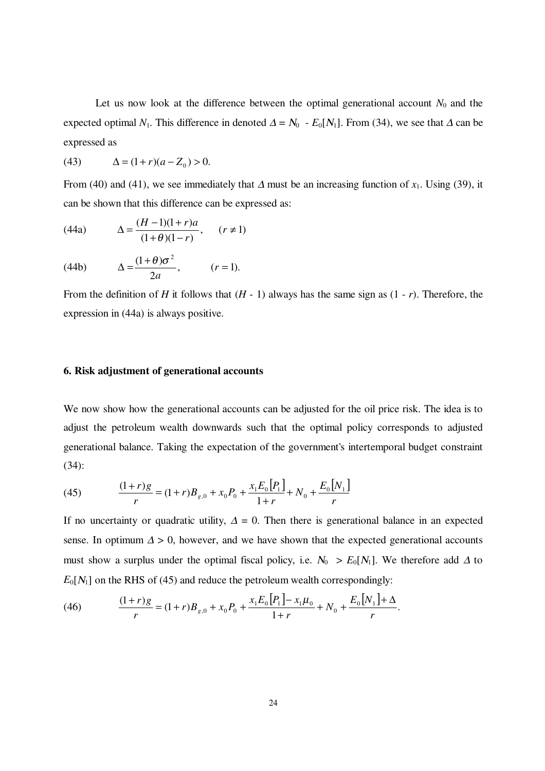Let us now look at the difference between the optimal generational account  $N_0$  and the expected optimal  $N_1$ . This difference in denoted  $\Delta = N_0 - E_0[N_1]$ . From (34), we see that  $\Delta$  can be expressed as

(43) 
$$
\Delta = (1+r)(a - Z_0) > 0.
$$

From (40) and (41), we see immediately that  $\Delta$  must be an increasing function of  $x_1$ . Using (39), it can be shown that this difference can be expressed as:

(44a) 
$$
\Delta = \frac{(H-1)(1+r)a}{(1+\theta)(1-r)}, \quad (r \neq 1)
$$

(44b) 
$$
\Delta = \frac{(1+\theta)\sigma^2}{2a}, \qquad (r=1).
$$

From the definition of *H* it follows that  $(H - 1)$  always has the same sign as  $(1 - r)$ . Therefore, the expression in (44a) is always positive.

#### **6. Risk adjustment of generational accounts**

We now show how the generational accounts can be adjusted for the oil price risk. The idea is to adjust the petroleum wealth downwards such that the optimal policy corresponds to adjusted generational balance. Taking the expectation of the government's intertemporal budget constraint (34):

(45) 
$$
\frac{(1+r)g}{r} = (1+r)B_{g,0} + x_0 P_0 + \frac{x_1 E_0[P_1]}{1+r} + N_0 + \frac{E_0[N_1]}{r}
$$

If no uncertainty or quadratic utility,  $\Delta = 0$ . Then there is generational balance in an expected sense. In optimum  $\Delta > 0$ , however, and we have shown that the expected generational accounts must show a surplus under the optimal fiscal policy, i.e.  $N_0 > E_0[N_1]$ . We therefore add  $\Delta$  to  $E_0[N_1]$  on the RHS of (45) and reduce the petroleum wealth correspondingly:

(46) 
$$
\frac{(1+r)g}{r} = (1+r)B_{g,0} + x_0 P_0 + \frac{x_1 E_0 [P_1] - x_1 \mu_0}{1+r} + N_0 + \frac{E_0 [N_1] + \Delta}{r}.
$$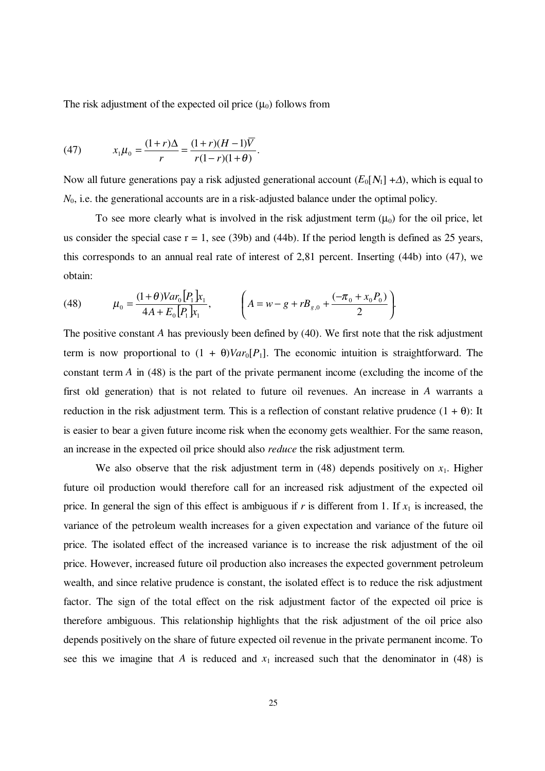The risk adjustment of the expected oil price  $(\mu_0)$  follows from

(47) 
$$
x_1 \mu_0 = \frac{(1+r)\Delta}{r} = \frac{(1+r)(H-1)\overline{V}}{r(1-r)(1+\theta)}.
$$

Now all future generations pay a risk adjusted generational account  $(E_0[N_1]+*\Delta*)$ , which is equal to  $N_0$ , i.e. the generational accounts are in a risk-adjusted balance under the optimal policy.

To see more clearly what is involved in the risk adjustment term  $(\mu_0)$  for the oil price, let us consider the special case  $r = 1$ , see (39b) and (44b). If the period length is defined as 25 years, this corresponds to an annual real rate of interest of 2,81 percent. Inserting (44b) into (47), we obtain:

(48) 
$$
\mu_0 = \frac{(1+\theta)Var_0[P_1]x_1}{4A+E_0[P_1]x_1}, \qquad \left(A=w-g+rB_{g,0}+\frac{(-\pi_0+x_0P_0)}{2}\right).
$$

The positive constant *A* has previously been defined by (40). We first note that the risk adjustment term is now proportional to  $(1 + \theta)Var_0[P_1]$ . The economic intuition is straightforward. The constant term *A* in (48) is the part of the private permanent income (excluding the income of the first old generation) that is not related to future oil revenues. An increase in *A* warrants a reduction in the risk adjustment term. This is a reflection of constant relative prudence  $(1 + \theta)$ : It is easier to bear a given future income risk when the economy gets wealthier. For the same reason, an increase in the expected oil price should also *reduce* the risk adjustment term.

We also observe that the risk adjustment term in (48) depends positively on  $x_1$ . Higher future oil production would therefore call for an increased risk adjustment of the expected oil price. In general the sign of this effect is ambiguous if  $r$  is different from 1. If  $x_1$  is increased, the variance of the petroleum wealth increases for a given expectation and variance of the future oil price. The isolated effect of the increased variance is to increase the risk adjustment of the oil price. However, increased future oil production also increases the expected government petroleum wealth, and since relative prudence is constant, the isolated effect is to reduce the risk adjustment factor. The sign of the total effect on the risk adjustment factor of the expected oil price is therefore ambiguous. This relationship highlights that the risk adjustment of the oil price also depends positively on the share of future expected oil revenue in the private permanent income. To see this we imagine that *A* is reduced and  $x_1$  increased such that the denominator in (48) is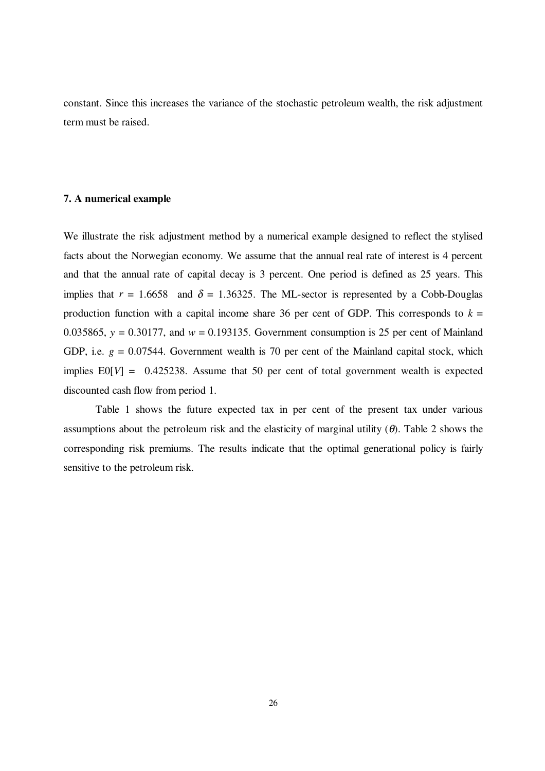constant. Since this increases the variance of the stochastic petroleum wealth, the risk adjustment term must be raised.

#### **7. A numerical example**

We illustrate the risk adjustment method by a numerical example designed to reflect the stylised facts about the Norwegian economy. We assume that the annual real rate of interest is 4 percent and that the annual rate of capital decay is 3 percent. One period is defined as 25 years. This implies that  $r = 1.6658$  and  $\delta = 1.36325$ . The ML-sector is represented by a Cobb-Douglas production function with a capital income share 36 per cent of GDP. This corresponds to  $k =$ 0.035865,  $y = 0.30177$ , and  $w = 0.193135$ . Government consumption is 25 per cent of Mainland GDP, i.e.  $g = 0.07544$ . Government wealth is 70 per cent of the Mainland capital stock, which implies  $E0[V] = 0.425238$ . Assume that 50 per cent of total government wealth is expected discounted cash flow from period 1.

 Table 1 shows the future expected tax in per cent of the present tax under various assumptions about the petroleum risk and the elasticity of marginal utility  $(\theta)$ . Table 2 shows the corresponding risk premiums. The results indicate that the optimal generational policy is fairly sensitive to the petroleum risk.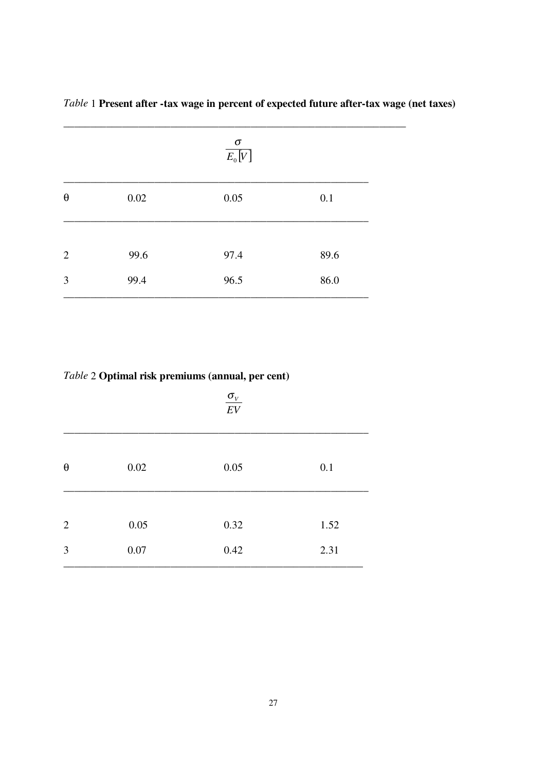|                       |          | $\sigma$<br>$E_0[V]$ |      |
|-----------------------|----------|----------------------|------|
| $\boldsymbol{\theta}$ | $0.02\,$ | 0.05                 | 0.1  |
| 2                     | 99.6     | 97.4                 | 89.6 |
| $\mathfrak{Z}$        | 99.4     | 96.5                 | 86.0 |

Table 1 Present after -tax wage in percent of expected future after-tax wage (net taxes)

### Table 2 Optimal risk premiums (annual, per cent)

|                       |          | $\sigma_v$<br>$\cal{E}V$ |      |
|-----------------------|----------|--------------------------|------|
| $\boldsymbol{\theta}$ | $0.02\,$ | $0.05\,$                 | 0.1  |
| $\overline{2}$        | $0.05\,$ | 0.32                     | 1.52 |
| 3                     | 0.07     | 0.42                     | 2.31 |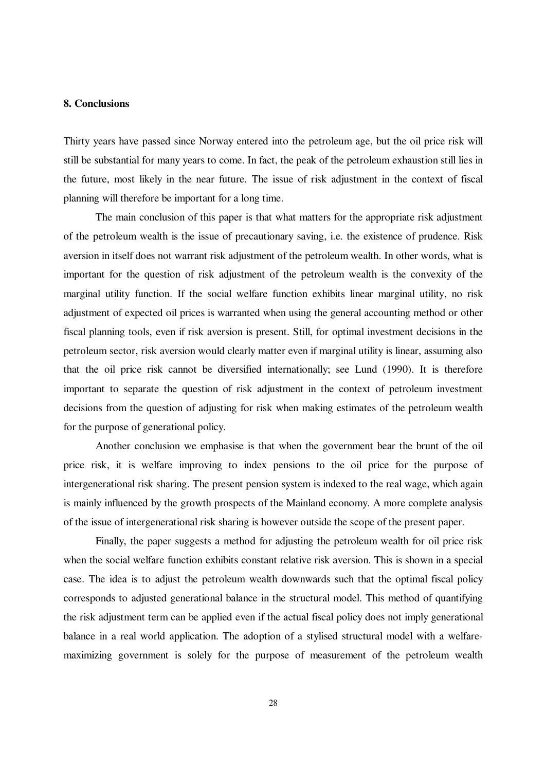#### **8. Conclusions**

Thirty years have passed since Norway entered into the petroleum age, but the oil price risk will still be substantial for many years to come. In fact, the peak of the petroleum exhaustion still lies in the future, most likely in the near future. The issue of risk adjustment in the context of fiscal planning will therefore be important for a long time.

The main conclusion of this paper is that what matters for the appropriate risk adjustment of the petroleum wealth is the issue of precautionary saving, i.e. the existence of prudence. Risk aversion in itself does not warrant risk adjustment of the petroleum wealth. In other words, what is important for the question of risk adjustment of the petroleum wealth is the convexity of the marginal utility function. If the social welfare function exhibits linear marginal utility, no risk adjustment of expected oil prices is warranted when using the general accounting method or other fiscal planning tools, even if risk aversion is present. Still, for optimal investment decisions in the petroleum sector, risk aversion would clearly matter even if marginal utility is linear, assuming also that the oil price risk cannot be diversified internationally; see Lund (1990). It is therefore important to separate the question of risk adjustment in the context of petroleum investment decisions from the question of adjusting for risk when making estimates of the petroleum wealth for the purpose of generational policy.

Another conclusion we emphasise is that when the government bear the brunt of the oil price risk, it is welfare improving to index pensions to the oil price for the purpose of intergenerational risk sharing. The present pension system is indexed to the real wage, which again is mainly influenced by the growth prospects of the Mainland economy. A more complete analysis of the issue of intergenerational risk sharing is however outside the scope of the present paper.

Finally, the paper suggests a method for adjusting the petroleum wealth for oil price risk when the social welfare function exhibits constant relative risk aversion. This is shown in a special case. The idea is to adjust the petroleum wealth downwards such that the optimal fiscal policy corresponds to adjusted generational balance in the structural model. This method of quantifying the risk adjustment term can be applied even if the actual fiscal policy does not imply generational balance in a real world application. The adoption of a stylised structural model with a welfaremaximizing government is solely for the purpose of measurement of the petroleum wealth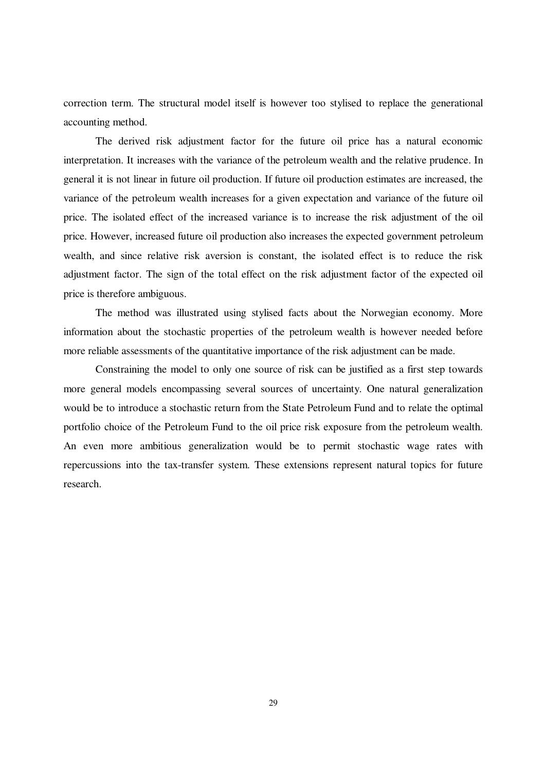correction term. The structural model itself is however too stylised to replace the generational accounting method.

The derived risk adjustment factor for the future oil price has a natural economic interpretation. It increases with the variance of the petroleum wealth and the relative prudence. In general it is not linear in future oil production. If future oil production estimates are increased, the variance of the petroleum wealth increases for a given expectation and variance of the future oil price. The isolated effect of the increased variance is to increase the risk adjustment of the oil price. However, increased future oil production also increases the expected government petroleum wealth, and since relative risk aversion is constant, the isolated effect is to reduce the risk adjustment factor. The sign of the total effect on the risk adjustment factor of the expected oil price is therefore ambiguous.

The method was illustrated using stylised facts about the Norwegian economy. More information about the stochastic properties of the petroleum wealth is however needed before more reliable assessments of the quantitative importance of the risk adjustment can be made.

Constraining the model to only one source of risk can be justified as a first step towards more general models encompassing several sources of uncertainty. One natural generalization would be to introduce a stochastic return from the State Petroleum Fund and to relate the optimal portfolio choice of the Petroleum Fund to the oil price risk exposure from the petroleum wealth. An even more ambitious generalization would be to permit stochastic wage rates with repercussions into the tax-transfer system. These extensions represent natural topics for future research.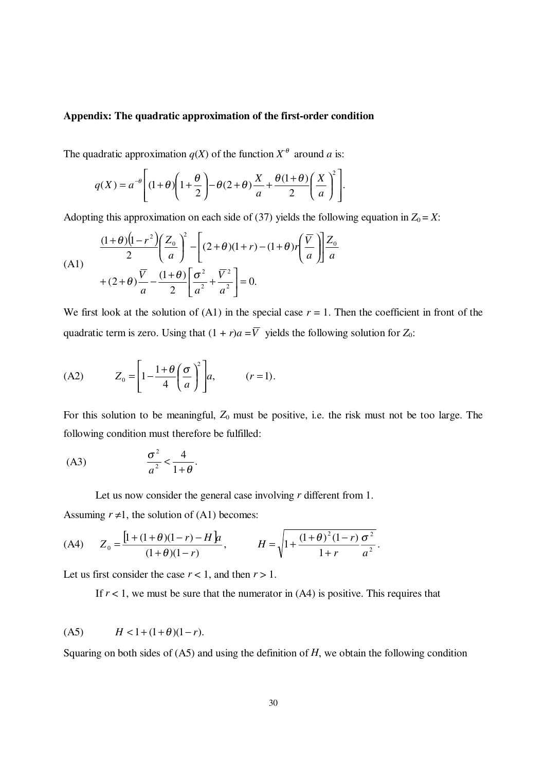#### **Appendix: The quadratic approximation of the first-order condition**

The quadratic approximation  $q(X)$  of the function  $X^{\theta}$  around *a* is:

$$
q(X) = a^{-\theta} \left[ (1+\theta) \left( 1+\frac{\theta}{2} \right) - \theta(2+\theta) \frac{X}{a} + \frac{\theta(1+\theta)}{2} \left( \frac{X}{a} \right)^2 \right].
$$

Adopting this approximation on each side of (37) yields the following equation in  $Z_0 = X$ :

$$
\frac{(1+\theta)\left(1-r^2\right)}{2}\left(\frac{Z_0}{a}\right)^2 - \left[(2+\theta)(1+r) - (1+\theta)r\left(\frac{\overline{V}}{a}\right)\right] \frac{Z_0}{a}
$$
\n
$$
+ (2+\theta)\frac{\overline{V}}{a} - \frac{(1+\theta)}{2}\left[\frac{\sigma^2}{a^2} + \frac{\overline{V}^2}{a^2}\right] = 0.
$$

We first look at the solution of  $(A1)$  in the special case  $r = 1$ . Then the coefficient in front of the quadratic term is zero. Using that  $(1 + r)a = \overline{V}$  yields the following solution for  $Z_0$ :

(A2) 
$$
Z_0 = \left[1 - \frac{1+\theta}{4} \left(\frac{\sigma}{a}\right)^2\right] a, \qquad (r=1).
$$

For this solution to be meaningful,  $Z_0$  must be positive, i.e. the risk must not be too large. The following condition must therefore be fulfilled:

$$
\text{(A3)} \qquad \qquad \frac{\sigma^2}{a^2} < \frac{4}{1+\theta}.
$$

Let us now consider the general case involving *r* different from 1.

Assuming  $r \neq 1$ , the solution of (A1) becomes:

(A4) 
$$
Z_0 = \frac{\left[1 + (1+\theta)(1-r) - H\right]a}{(1+\theta)(1-r)}, \qquad H = \sqrt{1 + \frac{(1+\theta)^2(1-r)}{1+r} \frac{\sigma^2}{a^2}}.
$$

Let us first consider the case  $r < 1$ , and then  $r > 1$ .

If  $r < 1$ , we must be sure that the numerator in  $(A4)$  is positive. This requires that

(A5) 
$$
H < 1 + (1 + \theta)(1 - r)
$$
.

Squaring on both sides of (A5) and using the definition of *H*, we obtain the following condition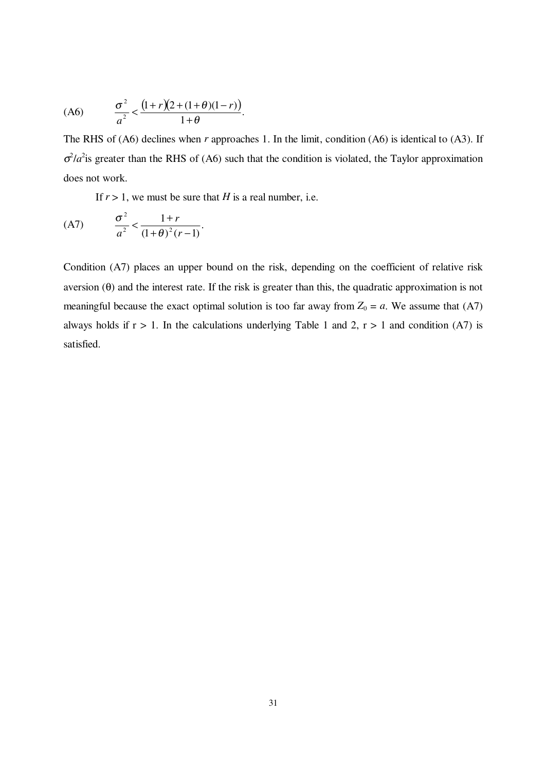$$
(A6) \qquad \frac{\sigma^2}{a^2} < \frac{\left(1+r\right)\left(2+(1+\theta)(1-r)\right)}{1+\theta}.
$$

The RHS of (A6) declines when *r* approaches 1. In the limit, condition (A6) is identical to (A3). If  $\sigma^2/a^2$  is greater than the RHS of (A6) such that the condition is violated, the Taylor approximation does not work.

If  $r > 1$ , we must be sure that *H* is a real number, i.e.

(A7) 
$$
\frac{\sigma^2}{a^2} < \frac{1+r}{(1+\theta)^2(r-1)}.
$$

Condition (A7) places an upper bound on the risk, depending on the coefficient of relative risk aversion (θ) and the interest rate. If the risk is greater than this, the quadratic approximation is not meaningful because the exact optimal solution is too far away from  $Z_0 = a$ . We assume that (A7) always holds if  $r > 1$ . In the calculations underlying Table 1 and 2,  $r > 1$  and condition (A7) is satisfied.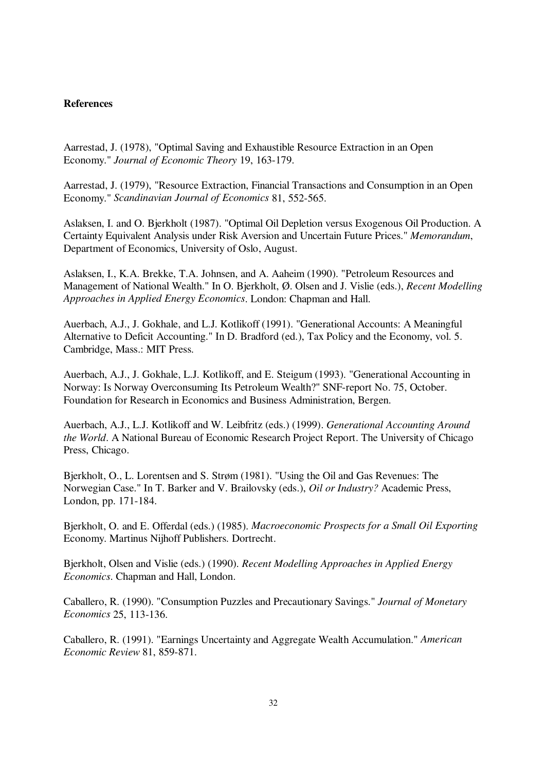#### **References**

Aarrestad, J. (1978), "Optimal Saving and Exhaustible Resource Extraction in an Open Economy." *Journal of Economic Theory* 19, 163-179.

Aarrestad, J. (1979), "Resource Extraction, Financial Transactions and Consumption in an Open Economy." *Scandinavian Journal of Economics* 81, 552-565.

Aslaksen, I. and O. Bjerkholt (1987). "Optimal Oil Depletion versus Exogenous Oil Production. A Certainty Equivalent Analysis under Risk Aversion and Uncertain Future Prices." *Memorandum*, Department of Economics, University of Oslo, August.

Aslaksen, I., K.A. Brekke, T.A. Johnsen, and A. Aaheim (1990). "Petroleum Resources and Management of National Wealth." In O. Bjerkholt, Ø. Olsen and J. Vislie (eds.), *Recent Modelling Approaches in Applied Energy Economics*. London: Chapman and Hall.

Auerbach, A.J., J. Gokhale, and L.J. Kotlikoff (1991). "Generational Accounts: A Meaningful Alternative to Deficit Accounting." In D. Bradford (ed.), Tax Policy and the Economy, vol. 5. Cambridge, Mass.: MIT Press.

Auerbach, A.J., J. Gokhale, L.J. Kotlikoff, and E. Steigum (1993). "Generational Accounting in Norway: Is Norway Overconsuming Its Petroleum Wealth?" SNF-report No. 75, October. Foundation for Research in Economics and Business Administration, Bergen.

Auerbach, A.J., L.J. Kotlikoff and W. Leibfritz (eds.) (1999). *Generational Accounting Around the World*. A National Bureau of Economic Research Project Report. The University of Chicago Press, Chicago.

Bjerkholt, O., L. Lorentsen and S. Strøm (1981). "Using the Oil and Gas Revenues: The Norwegian Case." In T. Barker and V. Brailovsky (eds.), *Oil or Industry?* Academic Press, London, pp. 171-184.

Bjerkholt, O. and E. Offerdal (eds.) (1985). *Macroeconomic Prospects for a Small Oil Exporting* Economy. Martinus Nijhoff Publishers. Dortrecht.

Bjerkholt, Olsen and Vislie (eds.) (1990). *Recent Modelling Approaches in Applied Energy Economics*. Chapman and Hall, London.

Caballero, R. (1990). "Consumption Puzzles and Precautionary Savings." *Journal of Monetary Economics* 25, 113-136.

Caballero, R. (1991). "Earnings Uncertainty and Aggregate Wealth Accumulation." *American Economic Review* 81, 859-871.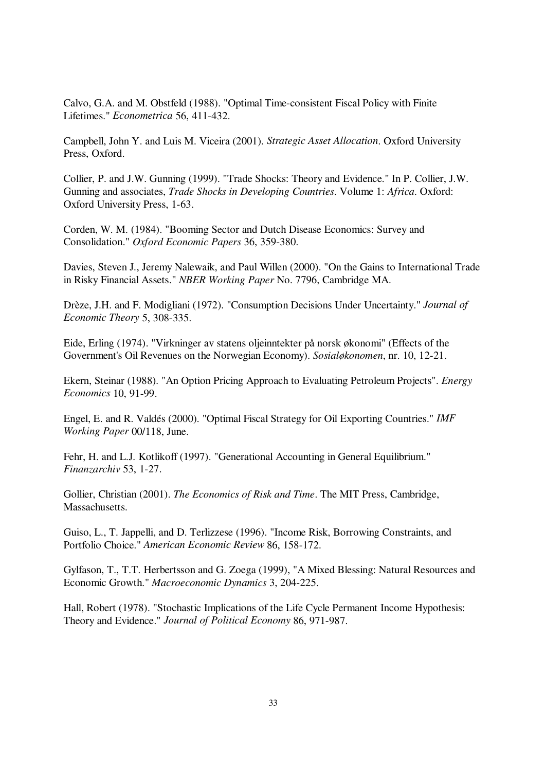Calvo, G.A. and M. Obstfeld (1988). "Optimal Time-consistent Fiscal Policy with Finite Lifetimes." *Econometrica* 56, 411-432.

Campbell, John Y. and Luis M. Viceira (2001). *Strategic Asset Allocation*. Oxford University Press, Oxford.

Collier, P. and J.W. Gunning (1999). "Trade Shocks: Theory and Evidence." In P. Collier, J.W. Gunning and associates, *Trade Shocks in Developing Countries*. Volume 1: *Africa*. Oxford: Oxford University Press, 1-63.

Corden, W. M. (1984). "Booming Sector and Dutch Disease Economics: Survey and Consolidation." *Oxford Economic Papers* 36, 359-380.

Davies, Steven J., Jeremy Nalewaik, and Paul Willen (2000). "On the Gains to International Trade in Risky Financial Assets." *NBER Working Paper* No. 7796, Cambridge MA.

Drèze, J.H. and F. Modigliani (1972). "Consumption Decisions Under Uncertainty." *Journal of Economic Theory* 5, 308-335.

Eide, Erling (1974). "Virkninger av statens oljeinntekter på norsk økonomi" (Effects of the Government's Oil Revenues on the Norwegian Economy). *Sosialøkonomen*, nr. 10, 12-21.

Ekern, Steinar (1988). "An Option Pricing Approach to Evaluating Petroleum Projects". *Energy Economics* 10, 91-99.

Engel, E. and R. Valdés (2000). "Optimal Fiscal Strategy for Oil Exporting Countries." *IMF Working Paper* 00/118, June.

Fehr, H. and L.J. Kotlikoff (1997). "Generational Accounting in General Equilibrium." *Finanzarchiv* 53, 1-27.

Gollier, Christian (2001). *The Economics of Risk and Time*. The MIT Press, Cambridge, Massachusetts.

Guiso, L., T. Jappelli, and D. Terlizzese (1996). "Income Risk, Borrowing Constraints, and Portfolio Choice." *American Economic Review* 86, 158-172.

Gylfason, T., T.T. Herbertsson and G. Zoega (1999), "A Mixed Blessing: Natural Resources and Economic Growth." *Macroeconomic Dynamics* 3, 204-225.

Hall, Robert (1978). "Stochastic Implications of the Life Cycle Permanent Income Hypothesis: Theory and Evidence." *Journal of Political Economy* 86, 971-987.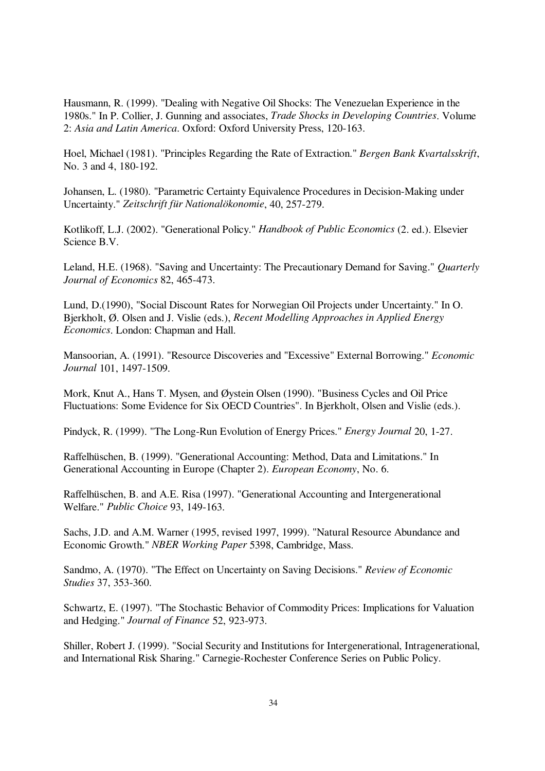Hausmann, R. (1999). "Dealing with Negative Oil Shocks: The Venezuelan Experience in the 1980s." In P. Collier, J. Gunning and associates, *Trade Shocks in Developing Countries*. Volume 2: *Asia and Latin America*. Oxford: Oxford University Press, 120-163.

Hoel, Michael (1981). "Principles Regarding the Rate of Extraction." *Bergen Bank Kvartalsskrift*, No. 3 and 4, 180-192.

Johansen, L. (1980). "Parametric Certainty Equivalence Procedures in Decision-Making under Uncertainty." *Zeitschrift für Nationalökonomie*, 40, 257-279.

Kotlikoff, L.J. (2002). "Generational Policy." *Handbook of Public Economics* (2. ed.). Elsevier Science B.V.

Leland, H.E. (1968). "Saving and Uncertainty: The Precautionary Demand for Saving." *Quarterly Journal of Economics* 82, 465-473.

Lund, D.(1990), "Social Discount Rates for Norwegian Oil Projects under Uncertainty." In O. Bjerkholt, Ø. Olsen and J. Vislie (eds.), *Recent Modelling Approaches in Applied Energy Economics*. London: Chapman and Hall.

Mansoorian, A. (1991). "Resource Discoveries and "Excessive" External Borrowing." *Economic Journal* 101, 1497-1509.

Mork, Knut A., Hans T. Mysen, and Øystein Olsen (1990). "Business Cycles and Oil Price Fluctuations: Some Evidence for Six OECD Countries". In Bjerkholt, Olsen and Vislie (eds.).

Pindyck, R. (1999). "The Long-Run Evolution of Energy Prices." *Energy Journal* 20, 1-27.

Raffelhüschen, B. (1999). "Generational Accounting: Method, Data and Limitations." In Generational Accounting in Europe (Chapter 2). *European Economy*, No. 6.

Raffelhüschen, B. and A.E. Risa (1997). "Generational Accounting and Intergenerational Welfare." *Public Choice* 93, 149-163.

Sachs, J.D. and A.M. Warner (1995, revised 1997, 1999). "Natural Resource Abundance and Economic Growth." *NBER Working Paper* 5398, Cambridge, Mass.

Sandmo, A. (1970). "The Effect on Uncertainty on Saving Decisions." *Review of Economic Studies* 37, 353-360.

Schwartz, E. (1997). "The Stochastic Behavior of Commodity Prices: Implications for Valuation and Hedging." *Journal of Finance* 52, 923-973.

Shiller, Robert J. (1999). "Social Security and Institutions for Intergenerational, Intragenerational, and International Risk Sharing." Carnegie-Rochester Conference Series on Public Policy.